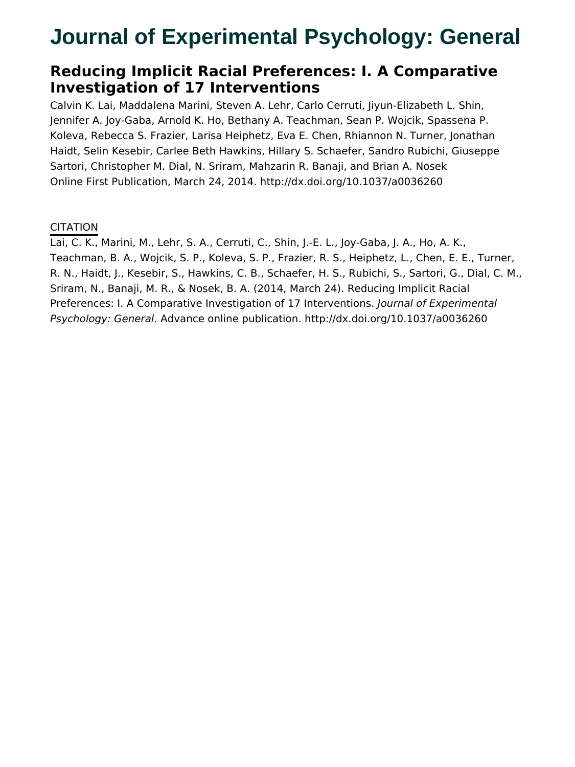# **Journal of Experimental Psychology: General**

## **Reducing Implicit Racial Preferences: I. A Comparative Investigation of 17 Interventions**

Calvin K. Lai, Maddalena Marini, Steven A. Lehr, Carlo Cerruti, Jiyun-Elizabeth L. Shin, Jennifer A. Joy-Gaba, Arnold K. Ho, Bethany A. Teachman, Sean P. Wojcik, Spassena P. Koleva, Rebecca S. Frazier, Larisa Heiphetz, Eva E. Chen, Rhiannon N. Turner, Jonathan Haidt, Selin Kesebir, Carlee Beth Hawkins, Hillary S. Schaefer, Sandro Rubichi, Giuseppe Sartori, Christopher M. Dial, N. Sriram, Mahzarin R. Banaji, and Brian A. Nosek Online First Publication, March 24, 2014. http://dx.doi.org/10.1037/a0036260

### **CITATION**

Lai, C. K., Marini, M., Lehr, S. A., Cerruti, C., Shin, J.-E. L., Joy-Gaba, J. A., Ho, A. K., Teachman, B. A., Wojcik, S. P., Koleva, S. P., Frazier, R. S., Heiphetz, L., Chen, E. E., Turner, R. N., Haidt, J., Kesebir, S., Hawkins, C. B., Schaefer, H. S., Rubichi, S., Sartori, G., Dial, C. M., Sriram, N., Banaji, M. R., & Nosek, B. A. (2014, March 24). Reducing Implicit Racial Preferences: I. A Comparative Investigation of 17 Interventions. Journal of Experimental Psychology: General. Advance online publication. http://dx.doi.org/10.1037/a0036260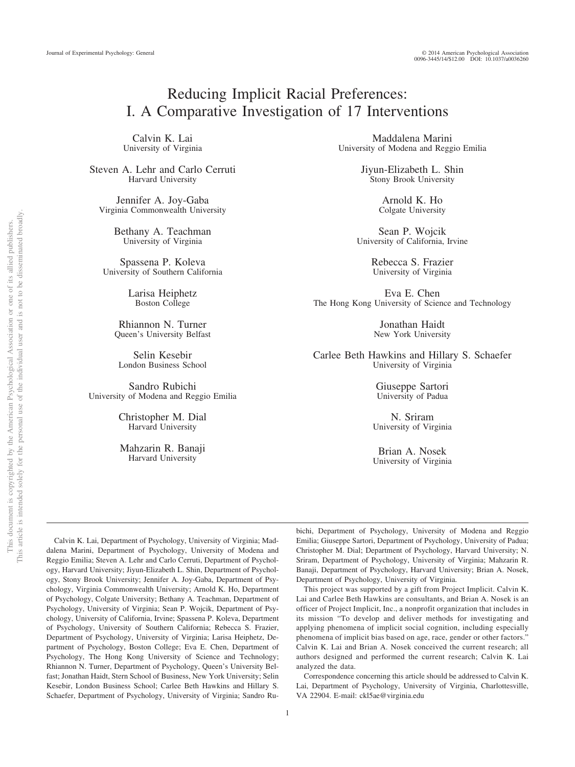## Reducing Implicit Racial Preferences: I. A Comparative Investigation of 17 Interventions

Calvin K. Lai University of Virginia

Steven A. Lehr and Carlo Cerruti Harvard University

Jennifer A. Joy-Gaba Virginia Commonwealth University

> Bethany A. Teachman University of Virginia

Spassena P. Koleva University of Southern California

> Larisa Heiphetz Boston College

Rhiannon N. Turner Queen's University Belfast

Selin Kesebir London Business School

Sandro Rubichi University of Modena and Reggio Emilia

> Christopher M. Dial Harvard University

Mahzarin R. Banaji Harvard University

Maddalena Marini University of Modena and Reggio Emilia

> Jiyun-Elizabeth L. Shin Stony Brook University

> > Arnold K. Ho Colgate University

Sean P. Wojcik University of California, Irvine

> Rebecca S. Frazier University of Virginia

Eva E. Chen The Hong Kong University of Science and Technology

> Jonathan Haidt New York University

Carlee Beth Hawkins and Hillary S. Schaefer University of Virginia

> Giuseppe Sartori University of Padua

N. Sriram University of Virginia

Brian A. Nosek University of Virginia

Calvin K. Lai, Department of Psychology, University of Virginia; Maddalena Marini, Department of Psychology, University of Modena and Reggio Emilia; Steven A. Lehr and Carlo Cerruti, Department of Psychology, Harvard University; Jiyun-Elizabeth L. Shin, Department of Psychology, Stony Brook University; Jennifer A. Joy-Gaba, Department of Psychology, Virginia Commonwealth University; Arnold K. Ho, Department of Psychology, Colgate University; Bethany A. Teachman, Department of Psychology, University of Virginia; Sean P. Wojcik, Department of Psychology, University of California, Irvine; Spassena P. Koleva, Department of Psychology, University of Southern California; Rebecca S. Frazier, Department of Psychology, University of Virginia; Larisa Heiphetz, Department of Psychology, Boston College; Eva E. Chen, Department of Psychology, The Hong Kong University of Science and Technology; Rhiannon N. Turner, Department of Psychology, Queen's University Belfast; Jonathan Haidt, Stern School of Business, New York University; Selin Kesebir, London Business School; Carlee Beth Hawkins and Hillary S. Schaefer, Department of Psychology, University of Virginia; Sandro Ru-

bichi, Department of Psychology, University of Modena and Reggio Emilia; Giuseppe Sartori, Department of Psychology, University of Padua; Christopher M. Dial; Department of Psychology, Harvard University; N. Sriram, Department of Psychology, University of Virginia; Mahzarin R. Banaji, Department of Psychology, Harvard University; Brian A. Nosek, Department of Psychology, University of Virginia.

This project was supported by a gift from Project Implicit. Calvin K. Lai and Carlee Beth Hawkins are consultants, and Brian A. Nosek is an officer of Project Implicit, Inc., a nonprofit organization that includes in its mission "To develop and deliver methods for investigating and applying phenomena of implicit social cognition, including especially phenomena of implicit bias based on age, race, gender or other factors." Calvin K. Lai and Brian A. Nosek conceived the current research; all authors designed and performed the current research; Calvin K. Lai analyzed the data.

Correspondence concerning this article should be addressed to Calvin K. Lai, Department of Psychology, University of Virginia, Charlottesville, VA 22904. E-mail: ckl5ae@virginia.edu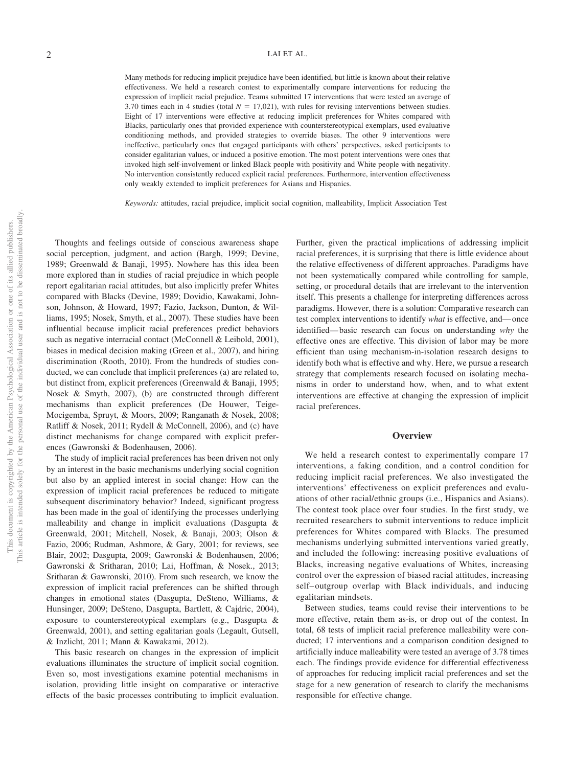#### 2 LAI ET AL.

Many methods for reducing implicit prejudice have been identified, but little is known about their relative effectiveness. We held a research contest to experimentally compare interventions for reducing the expression of implicit racial prejudice. Teams submitted 17 interventions that were tested an average of 3.70 times each in 4 studies (total  $N = 17,021$ ), with rules for revising interventions between studies. Eight of 17 interventions were effective at reducing implicit preferences for Whites compared with Blacks, particularly ones that provided experience with counterstereotypical exemplars, used evaluative conditioning methods, and provided strategies to override biases. The other 9 interventions were ineffective, particularly ones that engaged participants with others' perspectives, asked participants to consider egalitarian values, or induced a positive emotion. The most potent interventions were ones that invoked high self-involvement or linked Black people with positivity and White people with negativity. No intervention consistently reduced explicit racial preferences. Furthermore, intervention effectiveness only weakly extended to implicit preferences for Asians and Hispanics.

*Keywords:* attitudes, racial prejudice, implicit social cognition, malleability, Implicit Association Test

Thoughts and feelings outside of conscious awareness shape social perception, judgment, and action (Bargh, 1999; Devine, 1989; Greenwald & Banaji, 1995). Nowhere has this idea been more explored than in studies of racial prejudice in which people report egalitarian racial attitudes, but also implicitly prefer Whites compared with Blacks (Devine, 1989; Dovidio, Kawakami, Johnson, Johnson, & Howard, 1997; Fazio, Jackson, Dunton, & Williams, 1995; Nosek, Smyth, et al., 2007). These studies have been influential because implicit racial preferences predict behaviors such as negative interracial contact (McConnell & Leibold, 2001), biases in medical decision making (Green et al., 2007), and hiring discrimination (Rooth, 2010). From the hundreds of studies conducted, we can conclude that implicit preferences (a) are related to, but distinct from, explicit preferences (Greenwald & Banaji, 1995; Nosek & Smyth, 2007), (b) are constructed through different mechanisms than explicit preferences (De Houwer, Teige-Mocigemba, Spruyt, & Moors, 2009; Ranganath & Nosek, 2008; Ratliff & Nosek, 2011; Rydell & McConnell, 2006), and (c) have distinct mechanisms for change compared with explicit preferences (Gawronski & Bodenhausen, 2006).

The study of implicit racial preferences has been driven not only by an interest in the basic mechanisms underlying social cognition but also by an applied interest in social change: How can the expression of implicit racial preferences be reduced to mitigate subsequent discriminatory behavior? Indeed, significant progress has been made in the goal of identifying the processes underlying malleability and change in implicit evaluations (Dasgupta & Greenwald, 2001; Mitchell, Nosek, & Banaji, 2003; Olson & Fazio, 2006; Rudman, Ashmore, & Gary, 2001; for reviews, see Blair, 2002; Dasgupta, 2009; Gawronski & Bodenhausen, 2006; Gawronski & Sritharan, 2010; Lai, Hoffman, & Nosek., 2013; Sritharan & Gawronski, 2010). From such research, we know the expression of implicit racial preferences can be shifted through changes in emotional states (Dasgupta, DeSteno, Williams, & Hunsinger, 2009; DeSteno, Dasgupta, Bartlett, & Cajdric, 2004), exposure to counterstereotypical exemplars (e.g., Dasgupta & Greenwald, 2001), and setting egalitarian goals (Legault, Gutsell, & Inzlicht, 2011; Mann & Kawakami, 2012).

This basic research on changes in the expression of implicit evaluations illuminates the structure of implicit social cognition. Even so, most investigations examine potential mechanisms in isolation, providing little insight on comparative or interactive effects of the basic processes contributing to implicit evaluation.

Further, given the practical implications of addressing implicit racial preferences, it is surprising that there is little evidence about the relative effectiveness of different approaches. Paradigms have not been systematically compared while controlling for sample, setting, or procedural details that are irrelevant to the intervention itself. This presents a challenge for interpreting differences across paradigms. However, there is a solution: Comparative research can test complex interventions to identify *what* is effective, and— once identified— basic research can focus on understanding *why* the effective ones are effective. This division of labor may be more efficient than using mechanism-in-isolation research designs to identify both what is effective and why. Here, we pursue a research strategy that complements research focused on isolating mechanisms in order to understand how, when, and to what extent interventions are effective at changing the expression of implicit racial preferences.

#### **Overview**

We held a research contest to experimentally compare 17 interventions, a faking condition, and a control condition for reducing implicit racial preferences. We also investigated the interventions' effectiveness on explicit preferences and evaluations of other racial/ethnic groups (i.e., Hispanics and Asians). The contest took place over four studies. In the first study, we recruited researchers to submit interventions to reduce implicit preferences for Whites compared with Blacks. The presumed mechanisms underlying submitted interventions varied greatly, and included the following: increasing positive evaluations of Blacks, increasing negative evaluations of Whites, increasing control over the expression of biased racial attitudes, increasing self– outgroup overlap with Black individuals, and inducing egalitarian mindsets.

Between studies, teams could revise their interventions to be more effective, retain them as-is, or drop out of the contest. In total, 68 tests of implicit racial preference malleability were conducted; 17 interventions and a comparison condition designed to artificially induce malleability were tested an average of 3.78 times each. The findings provide evidence for differential effectiveness of approaches for reducing implicit racial preferences and set the stage for a new generation of research to clarify the mechanisms responsible for effective change.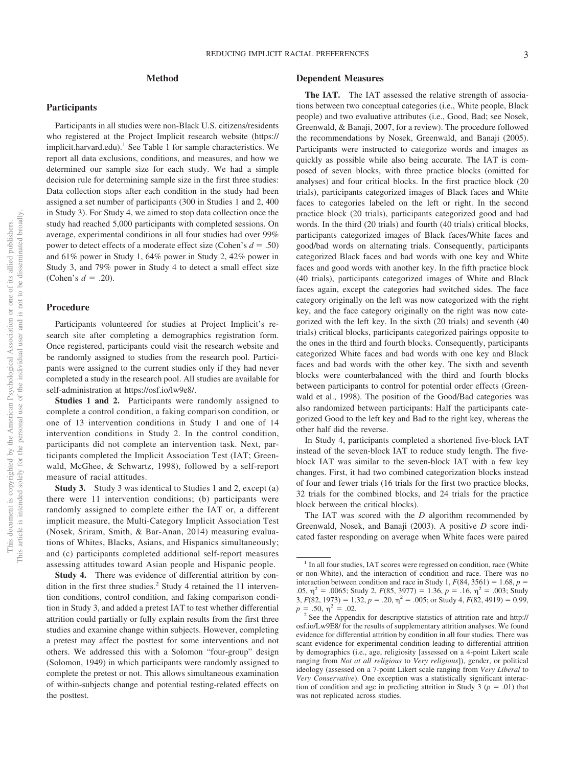#### **Method**

#### **Participants**

Participants in all studies were non-Black U.S. citizens/residents who registered at the Project Implicit research website (https:// implicit.harvard.edu).<sup>1</sup> See Table 1 for sample characteristics. We report all data exclusions, conditions, and measures, and how we determined our sample size for each study. We had a simple decision rule for determining sample size in the first three studies: Data collection stops after each condition in the study had been assigned a set number of participants (300 in Studies 1 and 2, 400 in Study 3). For Study 4, we aimed to stop data collection once the study had reached 5,000 participants with completed sessions. On average, experimental conditions in all four studies had over 99% power to detect effects of a moderate effect size (Cohen's  $d = .50$ ) and 61% power in Study 1, 64% power in Study 2, 42% power in Study 3, and 79% power in Study 4 to detect a small effect size (Cohen's  $d = .20$ ).

#### **Procedure**

Participants volunteered for studies at Project Implicit's research site after completing a demographics registration form. Once registered, participants could visit the research website and be randomly assigned to studies from the research pool. Participants were assigned to the current studies only if they had never completed a study in the research pool. All studies are available for self-administration at https://osf.io/lw9e8/.

**Studies 1 and 2.** Participants were randomly assigned to complete a control condition, a faking comparison condition, or one of 13 intervention conditions in Study 1 and one of 14 intervention conditions in Study 2. In the control condition, participants did not complete an intervention task. Next, participants completed the Implicit Association Test (IAT; Greenwald, McGhee, & Schwartz, 1998), followed by a self-report measure of racial attitudes.

**Study 3.** Study 3 was identical to Studies 1 and 2, except (a) there were 11 intervention conditions; (b) participants were randomly assigned to complete either the IAT or, a different implicit measure, the Multi-Category Implicit Association Test (Nosek, Sriram, Smith, & Bar-Anan, 2014) measuring evaluations of Whites, Blacks, Asians, and Hispanics simultaneously; and (c) participants completed additional self-report measures assessing attitudes toward Asian people and Hispanic people.

**Study 4.** There was evidence of differential attrition by condition in the first three studies.<sup>2</sup> Study 4 retained the 11 intervention conditions, control condition, and faking comparison condition in Study 3, and added a pretest IAT to test whether differential attrition could partially or fully explain results from the first three studies and examine change within subjects. However, completing a pretest may affect the posttest for some interventions and not others. We addressed this with a Solomon "four-group" design (Solomon, 1949) in which participants were randomly assigned to complete the pretest or not. This allows simultaneous examination of within-subjects change and potential testing-related effects on the posttest.

#### **Dependent Measures**

**The IAT.** The IAT assessed the relative strength of associations between two conceptual categories (i.e., White people, Black people) and two evaluative attributes (i.e., Good, Bad; see Nosek, Greenwald, & Banaji, 2007, for a review). The procedure followed the recommendations by Nosek, Greenwald, and Banaji (2005). Participants were instructed to categorize words and images as quickly as possible while also being accurate. The IAT is composed of seven blocks, with three practice blocks (omitted for analyses) and four critical blocks. In the first practice block (20 trials), participants categorized images of Black faces and White faces to categories labeled on the left or right. In the second practice block (20 trials), participants categorized good and bad words. In the third (20 trials) and fourth (40 trials) critical blocks, participants categorized images of Black faces/White faces and good/bad words on alternating trials. Consequently, participants categorized Black faces and bad words with one key and White faces and good words with another key. In the fifth practice block (40 trials), participants categorized images of White and Black faces again, except the categories had switched sides. The face category originally on the left was now categorized with the right key, and the face category originally on the right was now categorized with the left key. In the sixth (20 trials) and seventh (40 trials) critical blocks, participants categorized pairings opposite to the ones in the third and fourth blocks. Consequently, participants categorized White faces and bad words with one key and Black faces and bad words with the other key. The sixth and seventh blocks were counterbalanced with the third and fourth blocks between participants to control for potential order effects (Greenwald et al., 1998). The position of the Good/Bad categories was also randomized between participants: Half the participants categorized Good to the left key and Bad to the right key, whereas the other half did the reverse.

In Study 4, participants completed a shortened five-block IAT instead of the seven-block IAT to reduce study length. The fiveblock IAT was similar to the seven-block IAT with a few key changes. First, it had two combined categorization blocks instead of four and fewer trials (16 trials for the first two practice blocks, 32 trials for the combined blocks, and 24 trials for the practice block between the critical blocks).

The IAT was scored with the *D* algorithm recommended by Greenwald, Nosek, and Banaji (2003). A positive *D* score indicated faster responding on average when White faces were paired

<sup>&</sup>lt;sup>1</sup> In all four studies, IAT scores were regressed on condition, race (White or non-White), and the interaction of condition and race. There was no interaction between condition and race in Study 1,  $F(84, 3561) = 1.68$ ,  $p =$ .05,  $\eta^2$  = .0065; Study 2, *F*(85, 3977) = 1.36, *p* = .16,  $\eta^2$  = .003; Study 3,  $F(82, 1973) = 1.32, p = .20, \eta^2 = .005$ ; or Study 4,  $F(82, 4919) = 0.99$ ,  $p = .50, \eta^2 = .02.$ 

 $2$  See the Appendix for descriptive statistics of attrition rate and http:// osf.io/Lw9E8/ for the results of supplementary attrition analyses. We found evidence for differential attrition by condition in all four studies. There was scant evidence for experimental condition leading to differential attrition by demographics (i.e., age, religiosity [assessed on a 4-point Likert scale ranging from *Not at all religious* to *Very religious*]), gender, or political ideology (assessed on a 7-point Likert scale ranging from *Very Liberal* to *Very Conservative*). One exception was a statistically significant interaction of condition and age in predicting attrition in Study 3 ( $p = .01$ ) that was not replicated across studies.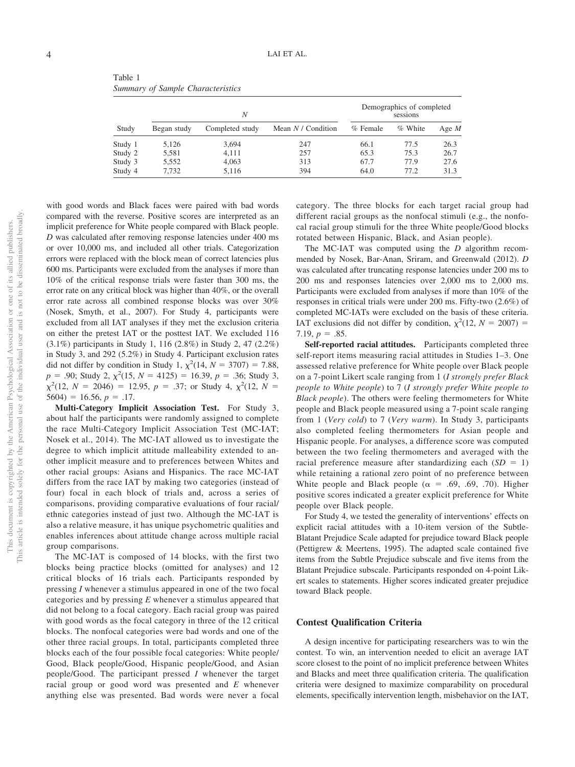|         |             | Ν               | Demographics of completed<br>sessions |            |         |         |  |  |  |
|---------|-------------|-----------------|---------------------------------------|------------|---------|---------|--|--|--|
| Study   | Began study | Completed study | Mean $N /$ Condition                  | $%$ Female | % White | Age $M$ |  |  |  |
| Study 1 | 5.126       | 3,694           | 247                                   | 66.1       | 77.5    | 26.3    |  |  |  |
| Study 2 | 5,581       | 4,111           | 257                                   | 65.3       | 75.3    | 26.7    |  |  |  |
| Study 3 | 5,552       | 4,063           | 313                                   | 67.7       | 77.9    | 27.6    |  |  |  |
| Study 4 | 7.732       | 5,116           | 394                                   | 64.0       | 77.2    | 31.3    |  |  |  |

Table 1 *Summary of Sample Characteristics*

with good words and Black faces were paired with bad words compared with the reverse. Positive scores are interpreted as an implicit preference for White people compared with Black people. *D* was calculated after removing response latencies under 400 ms or over 10,000 ms, and included all other trials. Categorization errors were replaced with the block mean of correct latencies plus 600 ms. Participants were excluded from the analyses if more than 10% of the critical response trials were faster than 300 ms, the error rate on any critical block was higher than 40%, or the overall error rate across all combined response blocks was over 30% (Nosek, Smyth, et al., 2007). For Study 4, participants were excluded from all IAT analyses if they met the exclusion criteria on either the pretest IAT or the posttest IAT. We excluded 116 (3.1%) participants in Study 1, 116 (2.8%) in Study 2, 47 (2.2%) in Study 3, and 292 (5.2%) in Study 4. Participant exclusion rates did not differ by condition in Study 1,  $\chi^2(14, N = 3707) = 7.88$ ,  $p = .90$ ; Study 2,  $\chi^2(15, N = 4125) = 16.39, p = .36$ ; Study 3,  $\chi^2(12, N = 2046) = 12.95, p = .37$ ; or Study 4,  $\chi^2(12, N = 12.95)$  $5604$ ) = 16.56, *p* = .17.

**Multi-Category Implicit Association Test.** For Study 3, about half the participants were randomly assigned to complete the race Multi-Category Implicit Association Test (MC-IAT; Nosek et al., 2014). The MC-IAT allowed us to investigate the degree to which implicit attitude malleability extended to another implicit measure and to preferences between Whites and other racial groups: Asians and Hispanics. The race MC-IAT differs from the race IAT by making two categories (instead of four) focal in each block of trials and, across a series of comparisons, providing comparative evaluations of four racial/ ethnic categories instead of just two. Although the MC-IAT is also a relative measure, it has unique psychometric qualities and enables inferences about attitude change across multiple racial group comparisons.

The MC-IAT is composed of 14 blocks, with the first two blocks being practice blocks (omitted for analyses) and 12 critical blocks of 16 trials each. Participants responded by pressing *I* whenever a stimulus appeared in one of the two focal categories and by pressing *E* whenever a stimulus appeared that did not belong to a focal category. Each racial group was paired with good words as the focal category in three of the 12 critical blocks. The nonfocal categories were bad words and one of the other three racial groups. In total, participants completed three blocks each of the four possible focal categories: White people/ Good, Black people/Good, Hispanic people/Good, and Asian people/Good. The participant pressed *I* whenever the target racial group or good word was presented and *E* whenever anything else was presented. Bad words were never a focal category. The three blocks for each target racial group had different racial groups as the nonfocal stimuli (e.g., the nonfocal racial group stimuli for the three White people/Good blocks rotated between Hispanic, Black, and Asian people).

The MC-IAT was computed using the *D* algorithm recommended by Nosek, Bar-Anan, Sriram, and Greenwald (2012). *D* was calculated after truncating response latencies under 200 ms to 200 ms and responses latencies over 2,000 ms to 2,000 ms. Participants were excluded from analyses if more than 10% of the responses in critical trials were under 200 ms. Fifty-two (2.6%) of completed MC-IATs were excluded on the basis of these criteria. IAT exclusions did not differ by condition,  $\chi^2(12, N = 2007)$  = 7.19,  $p = .85$ .

**Self-reported racial attitudes.** Participants completed three self-report items measuring racial attitudes in Studies 1–3. One assessed relative preference for White people over Black people on a 7-point Likert scale ranging from 1 (*I strongly prefer Black people to White people*) to 7 (*I strongly prefer White people to Black people*). The others were feeling thermometers for White people and Black people measured using a 7-point scale ranging from 1 (*Very cold*) to 7 (*Very warm*). In Study 3, participants also completed feeling thermometers for Asian people and Hispanic people. For analyses, a difference score was computed between the two feeling thermometers and averaged with the racial preference measure after standardizing each  $(SD = 1)$ while retaining a rational zero point of no preference between White people and Black people ( $\alpha = .69, .69, .70$ ). Higher positive scores indicated a greater explicit preference for White people over Black people.

For Study 4, we tested the generality of interventions' effects on explicit racial attitudes with a 10-item version of the Subtle-Blatant Prejudice Scale adapted for prejudice toward Black people (Pettigrew & Meertens, 1995). The adapted scale contained five items from the Subtle Prejudice subscale and five items from the Blatant Prejudice subscale. Participants responded on 4-point Likert scales to statements. Higher scores indicated greater prejudice toward Black people.

#### **Contest Qualification Criteria**

A design incentive for participating researchers was to win the contest. To win, an intervention needed to elicit an average IAT score closest to the point of no implicit preference between Whites and Blacks and meet three qualification criteria. The qualification criteria were designed to maximize comparability on procedural elements, specifically intervention length, misbehavior on the IAT,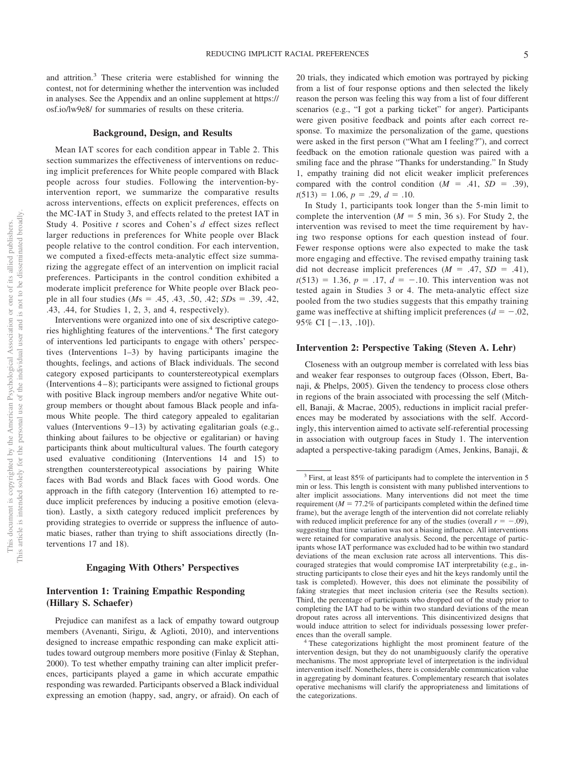and attrition.<sup>3</sup> These criteria were established for winning the contest, not for determining whether the intervention was included in analyses. See the Appendix and an online supplement at https:// osf.io/lw9e8/ for summaries of results on these criteria.

#### **Background, Design, and Results**

Mean IAT scores for each condition appear in Table 2. This section summarizes the effectiveness of interventions on reducing implicit preferences for White people compared with Black people across four studies. Following the intervention-byintervention report, we summarize the comparative results across interventions, effects on explicit preferences, effects on the MC-IAT in Study 3, and effects related to the pretest IAT in Study 4. Positive *t* scores and Cohen's *d* effect sizes reflect larger reductions in preferences for White people over Black people relative to the control condition. For each intervention, we computed a fixed-effects meta-analytic effect size summarizing the aggregate effect of an intervention on implicit racial preferences. Participants in the control condition exhibited a moderate implicit preference for White people over Black people in all four studies ( $Ms = .45, .43, .50, .42; SDs = .39, .42,$ .43, .44, for Studies 1, 2, 3, and 4, respectively).

Interventions were organized into one of six descriptive categories highlighting features of the interventions.<sup>4</sup> The first category of interventions led participants to engage with others' perspectives (Interventions 1–3) by having participants imagine the thoughts, feelings, and actions of Black individuals. The second category exposed participants to counterstereotypical exemplars (Interventions  $4-8$ ); participants were assigned to fictional groups with positive Black ingroup members and/or negative White outgroup members or thought about famous Black people and infamous White people. The third category appealed to egalitarian values (Interventions  $9-13$ ) by activating egalitarian goals (e.g., thinking about failures to be objective or egalitarian) or having participants think about multicultural values. The fourth category used evaluative conditioning (Interventions 14 and 15) to strengthen counterstereotypical associations by pairing White faces with Bad words and Black faces with Good words. One approach in the fifth category (Intervention 16) attempted to reduce implicit preferences by inducing a positive emotion (elevation). Lastly, a sixth category reduced implicit preferences by providing strategies to override or suppress the influence of automatic biases, rather than trying to shift associations directly (Interventions 17 and 18).

#### **Engaging With Others' Perspectives**

#### **Intervention 1: Training Empathic Responding (Hillary S. Schaefer)**

Prejudice can manifest as a lack of empathy toward outgroup members (Avenanti, Sirigu, & Aglioti, 2010), and interventions designed to increase empathic responding can make explicit attitudes toward outgroup members more positive (Finlay & Stephan, 2000). To test whether empathy training can alter implicit preferences, participants played a game in which accurate empathic responding was rewarded. Participants observed a Black individual expressing an emotion (happy, sad, angry, or afraid). On each of 20 trials, they indicated which emotion was portrayed by picking from a list of four response options and then selected the likely reason the person was feeling this way from a list of four different scenarios (e.g., "I got a parking ticket" for anger). Participants were given positive feedback and points after each correct response. To maximize the personalization of the game, questions were asked in the first person ("What am I feeling?"), and correct feedback on the emotion rationale question was paired with a smiling face and the phrase "Thanks for understanding." In Study 1, empathy training did not elicit weaker implicit preferences compared with the control condition  $(M = .41, SD = .39)$ ,  $t(513) = 1.06, p = .29, d = .10.$ 

In Study 1, participants took longer than the 5-min limit to complete the intervention ( $M = 5$  min, 36 s). For Study 2, the intervention was revised to meet the time requirement by having two response options for each question instead of four. Fewer response options were also expected to make the task more engaging and effective. The revised empathy training task did not decrease implicit preferences  $(M = .47, SD = .41)$ ,  $t(513) = 1.36, p = .17, d = -.10$ . This intervention was not tested again in Studies 3 or 4. The meta-analytic effect size pooled from the two studies suggests that this empathy training game was ineffective at shifting implicit preferences  $(d = -.02, ...)$ 95% CI  $[-.13, .10]$ ).

#### **Intervention 2: Perspective Taking (Steven A. Lehr)**

Closeness with an outgroup member is correlated with less bias and weaker fear responses to outgroup faces (Olsson, Ebert, Banaji, & Phelps, 2005). Given the tendency to process close others in regions of the brain associated with processing the self (Mitchell, Banaji, & Macrae, 2005), reductions in implicit racial preferences may be moderated by associations with the self. Accordingly, this intervention aimed to activate self-referential processing in association with outgroup faces in Study 1. The intervention adapted a perspective-taking paradigm (Ames, Jenkins, Banaji, &

<sup>3</sup> First, at least 85% of participants had to complete the intervention in 5 min or less. This length is consistent with many published interventions to alter implicit associations. Many interventions did not meet the time requirement ( $M = 77.2\%$  of participants completed within the defined time frame), but the average length of the intervention did not correlate reliably with reduced implicit preference for any of the studies (overall  $r = -.09$ ), suggesting that time variation was not a biasing influence. All interventions were retained for comparative analysis. Second, the percentage of participants whose IAT performance was excluded had to be within two standard deviations of the mean exclusion rate across all interventions. This discouraged strategies that would compromise IAT interpretability (e.g., instructing participants to close their eyes and hit the keys randomly until the task is completed). However, this does not eliminate the possibility of faking strategies that meet inclusion criteria (see the Results section). Third, the percentage of participants who dropped out of the study prior to completing the IAT had to be within two standard deviations of the mean dropout rates across all interventions. This disincentivized designs that would induce attrition to select for individuals possessing lower prefer-

ences than the overall sample.  $4$  These categorizations highlight the most prominent feature of the intervention design, but they do not unambiguously clarify the operative mechanisms. The most appropriate level of interpretation is the individual intervention itself. Nonetheless, there is considerable communication value in aggregating by dominant features. Complementary research that isolates operative mechanisms will clarify the appropriateness and limitations of the categorizations.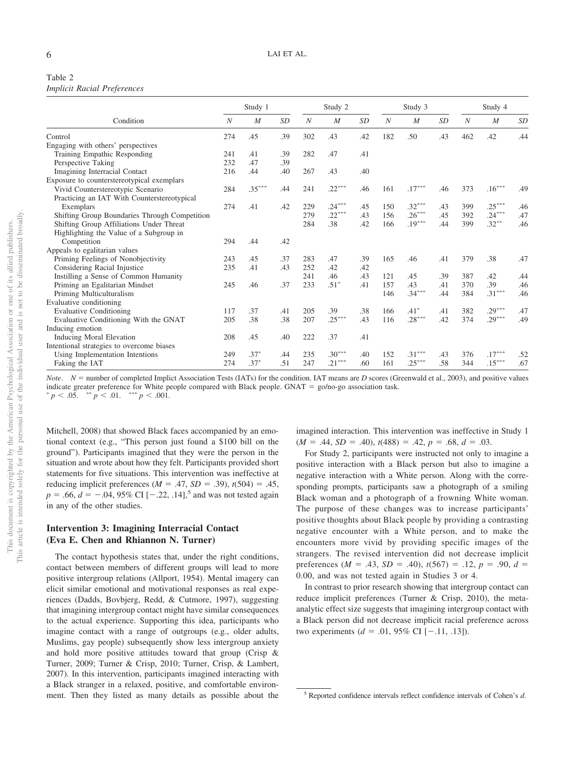| Table 2 |                                    |
|---------|------------------------------------|
|         | <b>Implicit Racial Preferences</b> |

| Condition                                     |     | Study 1          |           |                  | Study 2          |           |              | Study 3        |           |              | Study 4  |           |  |
|-----------------------------------------------|-----|------------------|-----------|------------------|------------------|-----------|--------------|----------------|-----------|--------------|----------|-----------|--|
|                                               |     | $\boldsymbol{M}$ | <b>SD</b> | $\boldsymbol{N}$ | $\boldsymbol{M}$ | <b>SD</b> | $\mathcal N$ | $\overline{M}$ | <b>SD</b> | $\mathcal N$ | M        | <b>SD</b> |  |
| Control                                       | 274 | .45              | .39       | 302              | .43              | .42       | 182          | .50            | .43       | 462          | .42      | .44       |  |
| Engaging with others' perspectives            |     |                  |           |                  |                  |           |              |                |           |              |          |           |  |
| Training Empathic Responding                  | 241 | .41              | .39       | 282              | .47              | .41       |              |                |           |              |          |           |  |
| Perspective Taking                            | 232 | .47              | .39       |                  |                  |           |              |                |           |              |          |           |  |
| Imagining Interracial Contact                 | 216 | .44              | .40       | 267              | .43              | .40       |              |                |           |              |          |           |  |
| Exposure to counterstereotypical exemplars    |     |                  |           |                  |                  |           |              |                |           |              |          |           |  |
| Vivid Counterstereotypic Scenario             | 284 | $.35***$         | .44       | 241              | $.22***$         | .46       | 161          | $.17***$       | .46       | 373          | $.16***$ | .49       |  |
| Practicing an IAT With Counterstereotypical   |     |                  |           |                  |                  |           |              |                |           |              |          |           |  |
| Exemplars                                     | 274 | .41              | .42       | 229              | $.24***$         | .45       | 150          | $.32***$       | .43       | 399          | $.25***$ | .46       |  |
| Shifting Group Boundaries Through Competition |     |                  |           | 279              | $.22***$         | .43       | 156          | $.26***$       | .45       | 392          | $.24***$ | .47       |  |
| Shifting Group Affiliations Under Threat      |     |                  |           | 284              | .38              | .42       | 166          | $.19***$       | .44       | 399          | $.32***$ | .46       |  |
| Highlighting the Value of a Subgroup in       |     |                  |           |                  |                  |           |              |                |           |              |          |           |  |
| Competition                                   | 294 | .44              | .42       |                  |                  |           |              |                |           |              |          |           |  |
| Appeals to egalitarian values                 |     |                  |           |                  |                  |           |              |                |           |              |          |           |  |
| Priming Feelings of Nonobjectivity            | 243 | .45              | .37       | 283              | .47              | .39       | 165          | .46            | .41       | 379          | .38      | .47       |  |
| Considering Racial Injustice                  | 235 | .41              | .43       | 252              | .42              | .42       |              |                |           |              |          |           |  |
| Instilling a Sense of Common Humanity         |     |                  |           | 241              | .46              | .43       | 121          | .45            | .39       | 387          | .42      | .44       |  |
| Priming an Egalitarian Mindset                | 245 | .46              | .37       | 233              | $.51*$           | .41       | 157          | .43            | .41       | 370          | .39      | .46       |  |
| Priming Multiculturalism                      |     |                  |           |                  |                  |           | 146          | $.34***$       | .44       | 384          | $.31***$ | .46       |  |
| Evaluative conditioning                       |     |                  |           |                  |                  |           |              |                |           |              |          |           |  |
| <b>Evaluative Conditioning</b>                | 117 | .37              | .41       | 205              | .39              | .38       | 166          | $.41*$         | .41       | 382          | $.29***$ | .47       |  |
| Evaluative Conditioning With the GNAT         | 205 | .38              | .38       | 207              | $.25***$         | .43       | 116          | $.28***$       | .42       | 374          | $.29***$ | .49       |  |
| Inducing emotion                              |     |                  |           |                  |                  |           |              |                |           |              |          |           |  |
| <b>Inducing Moral Elevation</b>               | 208 | .45              | .40       | 222              | .37              | .41       |              |                |           |              |          |           |  |
| Intentional strategies to overcome biases     |     |                  |           |                  |                  |           |              |                |           |              |          |           |  |
| Using Implementation Intentions               | 249 | $.37*$           | .44       | 235              | $.30***$         | .40       | 152          | $.31***$       | .43       | 376          | $.17***$ | .52       |  |
| Faking the IAT                                | 274 | $.37*$           | .51       | 247              | $.21***$         | .60       | 161          | $.25***$       | .58       | 344          | $.15***$ | .67       |  |

*Note.*  $N =$  number of completed Implict Association Tests (IATs) for the condition. IAT means are *D* scores (Greenwald et al., 2003), and positive values indicate greater preference for White people compared with Black people. GNAT = go/no-go association task.  $p < .05$ .  $\binom{p}{k}$   $p < .01$ .  $\binom{p}{k}$   $q < .001$ .

Mitchell, 2008) that showed Black faces accompanied by an emotional context (e.g., "This person just found a \$100 bill on the ground"). Participants imagined that they were the person in the situation and wrote about how they felt. Participants provided short statements for five situations. This intervention was ineffective at reducing implicit preferences ( $M = .47$ ,  $SD = .39$ ),  $t(504) = .45$ ,  $p = .66$ ,  $d = -.04$ , 95% CI [ $-.22, .14$ ],<sup>5</sup> and was not tested again in any of the other studies.

#### **Intervention 3: Imagining Interracial Contact (Eva E. Chen and Rhiannon N. Turner)**

The contact hypothesis states that, under the right conditions, contact between members of different groups will lead to more positive intergroup relations (Allport, 1954). Mental imagery can elicit similar emotional and motivational responses as real experiences (Dadds, Bovbjerg, Redd, & Cutmore, 1997), suggesting that imagining intergroup contact might have similar consequences to the actual experience. Supporting this idea, participants who imagine contact with a range of outgroups (e.g., older adults, Muslims, gay people) subsequently show less intergroup anxiety and hold more positive attitudes toward that group (Crisp & Turner, 2009; Turner & Crisp, 2010; Turner, Crisp, & Lambert, 2007). In this intervention, participants imagined interacting with a Black stranger in a relaxed, positive, and comfortable environment. Then they listed as many details as possible about the imagined interaction. This intervention was ineffective in Study 1  $(M = .44, SD = .40), t(488) = .42, p = .68, d = .03.$ 

For Study 2, participants were instructed not only to imagine a positive interaction with a Black person but also to imagine a negative interaction with a White person. Along with the corresponding prompts, participants saw a photograph of a smiling Black woman and a photograph of a frowning White woman. The purpose of these changes was to increase participants' positive thoughts about Black people by providing a contrasting negative encounter with a White person, and to make the encounters more vivid by providing specific images of the strangers. The revised intervention did not decrease implicit preferences ( $M = .43$ ,  $SD = .40$ ),  $t(567) = .12$ ,  $p = .90$ ,  $d =$ 0.00, and was not tested again in Studies 3 or 4.

In contrast to prior research showing that intergroup contact can reduce implicit preferences (Turner & Crisp, 2010), the metaanalytic effect size suggests that imagining intergroup contact with a Black person did not decrease implicit racial preference across two experiments  $(d = .01, 95\% \text{ CI } [-.11, .13])$ .

<sup>5</sup> Reported confidence intervals reflect confidence intervals of Cohen's *d*.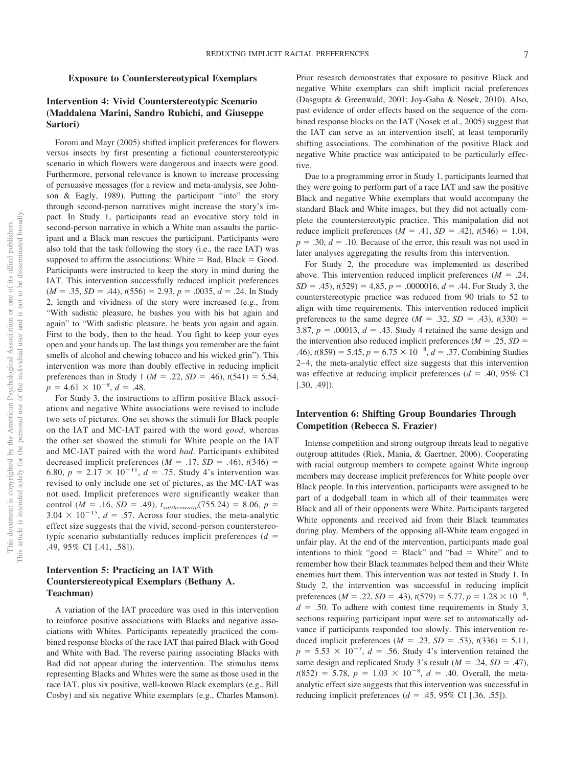#### **Exposure to Counterstereotypical Exemplars**

### **Intervention 4: Vivid Counterstereotypic Scenario (Maddalena Marini, Sandro Rubichi, and Giuseppe Sartori)**

Foroni and Mayr (2005) shifted implicit preferences for flowers versus insects by first presenting a fictional counterstereotypic scenario in which flowers were dangerous and insects were good. Furthermore, personal relevance is known to increase processing of persuasive messages (for a review and meta-analysis, see Johnson & Eagly, 1989). Putting the participant "into" the story through second-person narratives might increase the story's impact. In Study 1, participants read an evocative story told in second-person narrative in which a White man assaults the participant and a Black man rescues the participant. Participants were also told that the task following the story (i.e., the race IAT) was supposed to affirm the associations: White  $=$  Bad, Black  $=$  Good. Participants were instructed to keep the story in mind during the IAT. This intervention successfully reduced implicit preferences  $(M = .35, SD = .44)$ ,  $t(556) = 2.93$ ,  $p = .0035$ ,  $d = .24$ . In Study 2, length and vividness of the story were increased (e.g., from "With sadistic pleasure, he bashes you with his bat again and again" to "With sadistic pleasure, he beats you again and again. First to the body, then to the head. You fight to keep your eyes open and your hands up. The last things you remember are the faint smells of alcohol and chewing tobacco and his wicked grin"). This intervention was more than doubly effective in reducing implicit preferences than in Study 1 ( $M = .22$ ,  $SD = .46$ ),  $t(541) = 5.54$ ,  $p = 4.61 \times 10^{-8}, d = .48.$ 

For Study 3, the instructions to affirm positive Black associations and negative White associations were revised to include two sets of pictures. One set shows the stimuli for Black people on the IAT and MC-IAT paired with the word *good*, whereas the other set showed the stimuli for White people on the IAT and MC-IAT paired with the word *bad*. Participants exhibited decreased implicit preferences ( $M = .17$ ,  $SD = .46$ ),  $t(346) =$ 6.80,  $p = 2.17 \times 10^{-11}$ ,  $d = .75$ . Study 4's intervention was revised to only include one set of pictures, as the MC-IAT was not used. Implicit preferences were significantly weaker than control ( $M = .16$ ,  $SD = .49$ ),  $t_{sattherwaite}(755.24) = 8.06$ ,  $p =$  $3.04 \times 10^{-15}$ ,  $d = .57$ . Across four studies, the meta-analytic effect size suggests that the vivid, second-person counterstereotypic scenario substantially reduces implicit preferences (*d* .49, 95% CI [.41, .58]).

### **Intervention 5: Practicing an IAT With Counterstereotypical Exemplars (Bethany A. Teachman)**

A variation of the IAT procedure was used in this intervention to reinforce positive associations with Blacks and negative associations with Whites. Participants repeatedly practiced the combined response blocks of the race IAT that paired Black with Good and White with Bad. The reverse pairing associating Blacks with Bad did not appear during the intervention. The stimulus items representing Blacks and Whites were the same as those used in the race IAT, plus six positive, well-known Black exemplars (e.g., Bill Cosby) and six negative White exemplars (e.g., Charles Manson).

Prior research demonstrates that exposure to positive Black and negative White exemplars can shift implicit racial preferences (Dasgupta & Greenwald, 2001; Joy-Gaba & Nosek, 2010). Also, past evidence of order effects based on the sequence of the combined response blocks on the IAT (Nosek et al., 2005) suggest that the IAT can serve as an intervention itself, at least temporarily shifting associations. The combination of the positive Black and negative White practice was anticipated to be particularly effective.

Due to a programming error in Study 1, participants learned that they were going to perform part of a race IAT and saw the positive Black and negative White exemplars that would accompany the standard Black and White images, but they did not actually complete the counterstereotypic practice. This manipulation did not reduce implicit preferences ( $M = .41$ ,  $SD = .42$ ),  $t(546) = 1.04$ ,  $p = .30, d = .10$ . Because of the error, this result was not used in later analyses aggregating the results from this intervention.

For Study 2, the procedure was implemented as described above. This intervention reduced implicit preferences  $(M = .24, )$  $SD = .45$ ,  $t(529) = 4.85$ ,  $p = .0000016$ ,  $d = .44$ . For Study 3, the counterstereotypic practice was reduced from 90 trials to 52 to align with time requirements. This intervention reduced implicit preferences to the same degree  $(M = .32, SD = .43)$ ,  $t(330) =$ 3.87,  $p = .00013$ ,  $d = .43$ . Study 4 retained the same design and the intervention also reduced implicit preferences ( $M = .25$ ,  $SD =$  $.46$ ,  $t(859) = 5.45$ ,  $p = 6.75 \times 10^{-8}$ ,  $d = .37$ . Combining Studies 2– 4, the meta-analytic effect size suggests that this intervention was effective at reducing implicit preferences ( $d = .40, 95\%$  CI  $[.30, .49]$ ).

### **Intervention 6: Shifting Group Boundaries Through Competition (Rebecca S. Frazier)**

Intense competition and strong outgroup threats lead to negative outgroup attitudes (Riek, Mania, & Gaertner, 2006). Cooperating with racial outgroup members to compete against White ingroup members may decrease implicit preferences for White people over Black people. In this intervention, participants were assigned to be part of a dodgeball team in which all of their teammates were Black and all of their opponents were White. Participants targeted White opponents and received aid from their Black teammates during play. Members of the opposing all-White team engaged in unfair play. At the end of the intervention, participants made goal intentions to think "good  $=$  Black" and "bad  $=$  White" and to remember how their Black teammates helped them and their White enemies hurt them. This intervention was not tested in Study 1. In Study 2, the intervention was successful in reducing implicit preferences ( $M = .22$ ,  $SD = .43$ ),  $t(579) = 5.77$ ,  $p = 1.28 \times 10^{-8}$ ,  $d = .50$ . To adhere with contest time requirements in Study 3, sections requiring participant input were set to automatically advance if participants responded too slowly. This intervention reduced implicit preferences ( $M = .23$ ,  $SD = .53$ ),  $t(336) = 5.11$ ,  $p = 5.53 \times 10^{-7}$ ,  $d = .56$ . Study 4's intervention retained the same design and replicated Study 3's result ( $M = .24$ ,  $SD = .47$ ),  $t(852) = 5.78, p = 1.03 \times 10^{-8}, d = .40$ . Overall, the metaanalytic effect size suggests that this intervention was successful in reducing implicit preferences ( $d = .45, 95\%$  CI [.36, .55]).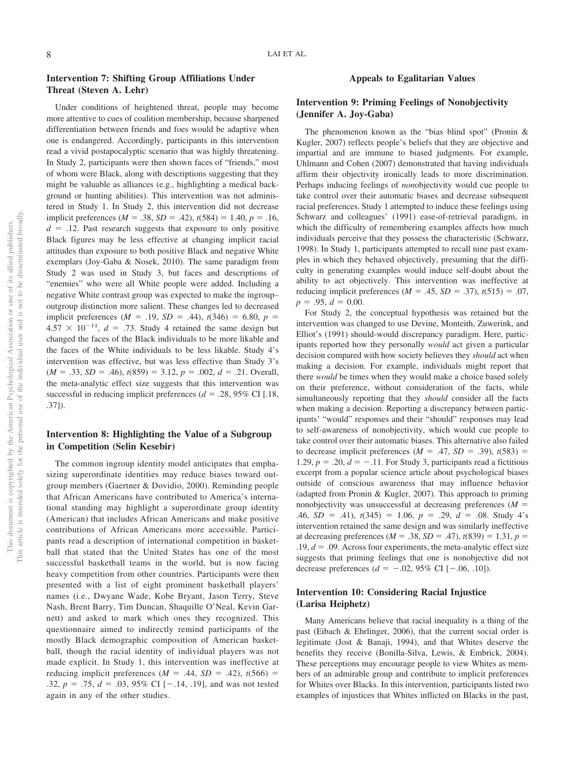### **Intervention 7: Shifting Group Affiliations Under Threat (Steven A. Lehr)**

Under conditions of heightened threat, people may become more attentive to cues of coalition membership, because sharpened differentiation between friends and foes would be adaptive when one is endangered. Accordingly, participants in this intervention read a vivid postapocalyptic scenario that was highly threatening. In Study 2, participants were then shown faces of "friends," most of whom were Black, along with descriptions suggesting that they might be valuable as alliances (e.g., highlighting a medical background or hunting abilities). This intervention was not administered in Study 1. In Study 2, this intervention did not decrease implicit preferences ( $M = .38$ ,  $SD = .42$ ),  $t(584) = 1.40$ ,  $p = .16$ ,  $d = .12$ . Past research suggests that exposure to only positive Black figures may be less effective at changing implicit racial attitudes than exposure to both positive Black and negative White exemplars (Joy-Gaba & Nosek, 2010). The same paradigm from Study 2 was used in Study 3, but faces and descriptions of "enemies" who were all White people were added. Including a negative White contrast group was expected to make the ingroup– outgroup distinction more salient. These changes led to decreased implicit preferences ( $M = .19$ ,  $SD = .44$ ),  $t(346) = 6.80$ ,  $p =$  $4.57 \times 10^{-11}$ ,  $d = .73$ . Study 4 retained the same design but changed the faces of the Black individuals to be more likable and the faces of the White individuals to be less likable. Study 4's intervention was effective, but was less effective than Study 3's  $(M = .33, SD = .46)$ ,  $t(859) = 3.12$ ,  $p = .002$ ,  $d = .21$ . Overall, the meta-analytic effect size suggests that this intervention was successful in reducing implicit preferences ( $d = .28, 95\%$  CI [.18, .37]).

#### **Intervention 8: Highlighting the Value of a Subgroup in Competition (Selin Kesebir)**

The common ingroup identity model anticipates that emphasizing superordinate identities may reduce biases toward outgroup members (Gaertner & Dovidio, 2000). Reminding people that African Americans have contributed to America's international standing may highlight a superordinate group identity (American) that includes African Americans and make positive contributions of African Americans more accessible. Participants read a description of international competition in basketball that stated that the United States has one of the most successful basketball teams in the world, but is now facing heavy competition from other countries. Participants were then presented with a list of eight prominent basketball players' names (i.e., Dwyane Wade, Kobe Bryant, Jason Terry, Steve Nash, Brent Barry, Tim Duncan, Shaquille O'Neal, Kevin Garnett) and asked to mark which ones they recognized. This questionnaire aimed to indirectly remind participants of the mostly Black demographic composition of American basketball, though the racial identity of individual players was not made explicit. In Study 1, this intervention was ineffective at reducing implicit preferences ( $M = .44$ ,  $SD = .42$ ),  $t(566) =$ .32,  $p = .75$ ,  $d = .03$ , 95% CI [-.14, .19], and was not tested again in any of the other studies.

#### **Appeals to Egalitarian Values**

#### **Intervention 9: Priming Feelings of Nonobjectivity (Jennifer A. Joy-Gaba)**

The phenomenon known as the "bias blind spot" (Pronin & Kugler, 2007) reflects people's beliefs that they are objective and impartial and are immune to biased judgments. For example, Uhlmann and Cohen (2007) demonstrated that having individuals affirm their objectivity ironically leads to more discrimination. Perhaps inducing feelings of *non*objectivity would cue people to take control over their automatic biases and decrease subsequent racial preferences. Study 1 attempted to induce these feelings using Schwarz and colleagues' (1991) ease-of-retrieval paradigm, in which the difficulty of remembering examples affects how much individuals perceive that they possess the characteristic (Schwarz, 1998). In Study 1, participants attempted to recall nine past examples in which they behaved objectively, presuming that the difficulty in generating examples would induce self-doubt about the ability to act objectively. This intervention was ineffective at reducing implicit preferences ( $M = .45$ ,  $SD = .37$ ),  $t(515) = .07$ ,  $p = .95, d = 0.00$ .

For Study 2, the conceptual hypothesis was retained but the intervention was changed to use Devine, Monteith, Zuwerink, and Elliot's (1991) should-would discrepancy paradigm. Here, participants reported how they personally *would* act given a particular decision compared with how society believes they *should* act when making a decision. For example, individuals might report that there *would* be times when they would make a choice based solely on their preference, without consideration of the facts, while simultaneously reporting that they *should* consider all the facts when making a decision. Reporting a discrepancy between participants' "would" responses and their "should" responses may lead to self-awareness of nonobjectivity, which would cue people to take control over their automatic biases. This alternative also failed to decrease implicit preferences  $(M = .47, SD = .39)$ ,  $t(583) =$ 1.29,  $p = 0.20$ ,  $d = -0.11$ . For Study 3, participants read a fictitious excerpt from a popular science article about psychological biases outside of conscious awareness that may influence behavior (adapted from Pronin & Kugler, 2007). This approach to priming nonobjectivity was unsuccessful at decreasing preferences (*M* .46,  $SD = .41$ ,  $t(345) = 1.06$ ,  $p = .29$ ,  $d = .08$ . Study 4's intervention retained the same design and was similarly ineffective at decreasing preferences ( $M = .38$ ,  $SD = .47$ ),  $t(839) = 1.31$ ,  $p =$ .19,  $d = 0.09$ . Across four experiments, the meta-analytic effect size suggests that priming feelings that one is nonobjective did not decrease preferences ( $d = -.02, 95\%$  CI [ $-.06, .10$ ]).

#### **Intervention 10: Considering Racial Injustice (Larisa Heiphetz)**

Many Americans believe that racial inequality is a thing of the past (Eibach & Ehrlinger, 2006), that the current social order is legitimate (Jost & Banaji, 1994), and that Whites deserve the benefits they receive (Bonilla-Silva, Lewis, & Embrick, 2004). These perceptions may encourage people to view Whites as members of an admirable group and contribute to implicit preferences for Whites over Blacks. In this intervention, participants listed two examples of injustices that Whites inflicted on Blacks in the past,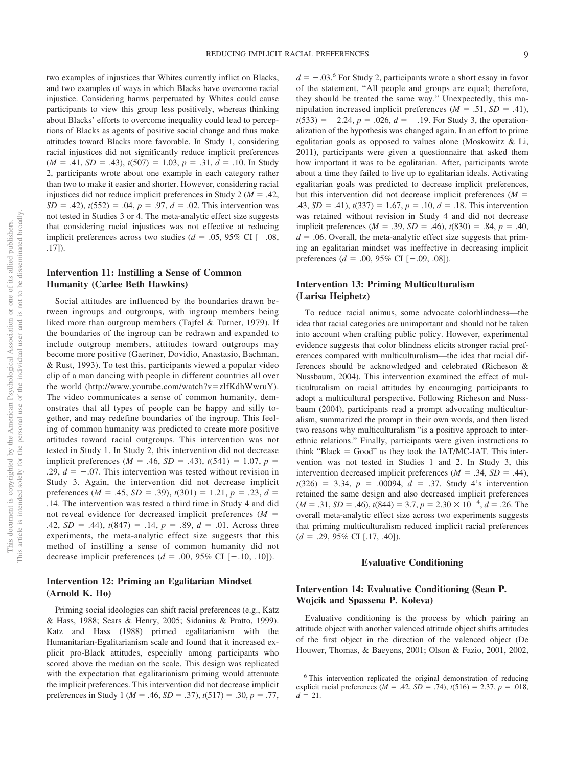two examples of injustices that Whites currently inflict on Blacks, and two examples of ways in which Blacks have overcome racial injustice. Considering harms perpetuated by Whites could cause participants to view this group less positively, whereas thinking about Blacks' efforts to overcome inequality could lead to perceptions of Blacks as agents of positive social change and thus make attitudes toward Blacks more favorable. In Study 1, considering racial injustices did not significantly reduce implicit preferences  $(M = .41, SD = .43), t(507) = 1.03, p = .31, d = .10$ . In Study 2, participants wrote about one example in each category rather than two to make it easier and shorter. However, considering racial injustices did not reduce implicit preferences in Study 2 ( $M = .42$ ,  $SD = .42$ ,  $t(552) = .04$ ,  $p = .97$ ,  $d = .02$ . This intervention was not tested in Studies 3 or 4. The meta-analytic effect size suggests that considering racial injustices was not effective at reducing implicit preferences across two studies ( $d = .05, 95\%$  CI [ $-.08$ , .17]).

#### **Intervention 11: Instilling a Sense of Common Humanity (Carlee Beth Hawkins)**

Social attitudes are influenced by the boundaries drawn between ingroups and outgroups, with ingroup members being liked more than outgroup members (Tajfel & Turner, 1979). If the boundaries of the ingroup can be redrawn and expanded to include outgroup members, attitudes toward outgroups may become more positive (Gaertner, Dovidio, Anastasio, Bachman, & Rust, 1993). To test this, participants viewed a popular video clip of a man dancing with people in different countries all over the world (http://www.youtube.com/watch?v=zlfKdbWwruY). The video communicates a sense of common humanity, demonstrates that all types of people can be happy and silly together, and may redefine boundaries of the ingroup. This feeling of common humanity was predicted to create more positive attitudes toward racial outgroups. This intervention was not tested in Study 1. In Study 2, this intervention did not decrease implicit preferences ( $M = .46$ ,  $SD = .43$ ),  $t(541) = 1.07$ ,  $p =$ .29,  $d = -.07$ . This intervention was tested without revision in Study 3. Again, the intervention did not decrease implicit preferences ( $M = .45$ ,  $SD = .39$ ),  $t(301) = 1.21$ ,  $p = .23$ ,  $d =$ .14. The intervention was tested a third time in Study 4 and did not reveal evidence for decreased implicit preferences (*M* .42,  $SD = .44$ ),  $t(847) = .14$ ,  $p = .89$ ,  $d = .01$ . Across three experiments, the meta-analytic effect size suggests that this method of instilling a sense of common humanity did not decrease implicit preferences  $(d = .00, 95\% \text{ CI } [-.10, .10]).$ 

#### **Intervention 12: Priming an Egalitarian Mindset (Arnold K. Ho)**

Priming social ideologies can shift racial preferences (e.g., Katz & Hass, 1988; Sears & Henry, 2005; Sidanius & Pratto, 1999). Katz and Hass (1988) primed egalitarianism with the Humanitarian-Egalitarianism scale and found that it increased explicit pro-Black attitudes, especially among participants who scored above the median on the scale. This design was replicated with the expectation that egalitarianism priming would attenuate the implicit preferences. This intervention did not decrease implicit preferences in Study 1 ( $M = .46$ ,  $SD = .37$ ),  $t(517) = .30$ ,  $p = .77$ ,

 $d = -.03<sup>6</sup>$  For Study 2, participants wrote a short essay in favor of the statement, "All people and groups are equal; therefore, they should be treated the same way." Unexpectedly, this manipulation increased implicit preferences ( $M = .51$ ,  $SD = .41$ ),  $t(533) = -2.24$ ,  $p = .026$ ,  $d = -.19$ . For Study 3, the operationalization of the hypothesis was changed again. In an effort to prime egalitarian goals as opposed to values alone (Moskowitz & Li, 2011), participants were given a questionnaire that asked them how important it was to be egalitarian. After, participants wrote about a time they failed to live up to egalitarian ideals. Activating egalitarian goals was predicted to decrease implicit preferences, but this intervention did not decrease implicit preferences (*M* .43,  $SD = .41$ ,  $t(337) = 1.67$ ,  $p = .10$ ,  $d = .18$ . This intervention was retained without revision in Study 4 and did not decrease implicit preferences ( $M = .39$ ,  $SD = .46$ ),  $t(830) = .84$ ,  $p = .40$ ,  $d = 0.06$ . Overall, the meta-analytic effect size suggests that priming an egalitarian mindset was ineffective in decreasing implicit preferences ( $d = .00, 95\%$  CI [ $-.09, .08$ ]).

#### **Intervention 13: Priming Multiculturalism (Larisa Heiphetz)**

To reduce racial animus, some advocate colorblindness—the idea that racial categories are unimportant and should not be taken into account when crafting public policy. However, experimental evidence suggests that color blindness elicits stronger racial preferences compared with multiculturalism—the idea that racial differences should be acknowledged and celebrated (Richeson & Nussbaum, 2004). This intervention examined the effect of multiculturalism on racial attitudes by encouraging participants to adopt a multicultural perspective. Following Richeson and Nussbaum (2004), participants read a prompt advocating multiculturalism, summarized the prompt in their own words, and then listed two reasons why multiculturalism "is a positive approach to interethnic relations." Finally, participants were given instructions to think "Black  $=$  Good" as they took the IAT/MC-IAT. This intervention was not tested in Studies 1 and 2. In Study 3, this intervention decreased implicit preferences  $(M = .34, SD = .44)$ ,  $t(326) = 3.34, p = .00094, d = .37.$  Study 4's intervention retained the same design and also decreased implicit preferences  $(M = .31, SD = .46)$ ,  $t(844) = 3.7$ ,  $p = 2.30 \times 10^{-4}$ ,  $d = .26$ . The overall meta-analytic effect size across two experiments suggests that priming multiculturalism reduced implicit racial preferences  $(d = .29, 95\% \text{ CI}$  [.17, .40]).

#### **Evaluative Conditioning**

#### **Intervention 14: Evaluative Conditioning (Sean P. Wojcik and Spassena P. Koleva)**

Evaluative conditioning is the process by which pairing an attitude object with another valenced attitude object shifts attitudes of the first object in the direction of the valenced object (De Houwer, Thomas, & Baeyens, 2001; Olson & Fazio, 2001, 2002,

<sup>&</sup>lt;sup>6</sup> This intervention replicated the original demonstration of reducing explicit racial preferences ( $M = .42$ ,  $SD = .74$ ),  $t(516) = 2.37$ ,  $p = .018$ ,  $d = 21$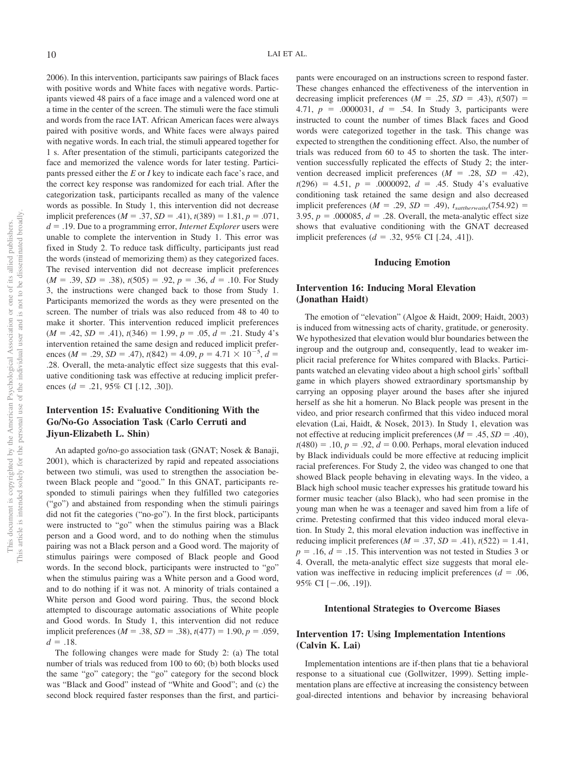2006). In this intervention, participants saw pairings of Black faces with positive words and White faces with negative words. Participants viewed 48 pairs of a face image and a valenced word one at a time in the center of the screen. The stimuli were the face stimuli and words from the race IAT. African American faces were always paired with positive words, and White faces were always paired with negative words. In each trial, the stimuli appeared together for 1 s. After presentation of the stimuli, participants categorized the face and memorized the valence words for later testing. Participants pressed either the *E* or *I* key to indicate each face's race, and the correct key response was randomized for each trial. After the categorization task, participants recalled as many of the valence words as possible. In Study 1, this intervention did not decrease implicit preferences ( $M = .37$ ,  $SD = .41$ ),  $t(389) = 1.81$ ,  $p = .071$ ,  $d = .19$ . Due to a programming error, *Internet Explorer* users were unable to complete the intervention in Study 1. This error was fixed in Study 2. To reduce task difficulty, participants just read the words (instead of memorizing them) as they categorized faces. The revised intervention did not decrease implicit preferences  $(M = .39, SD = .38), t(505) = .92, p = .36, d = .10$ . For Study 3, the instructions were changed back to those from Study 1. Participants memorized the words as they were presented on the screen. The number of trials was also reduced from 48 to 40 to make it shorter. This intervention reduced implicit preferences  $(M = .42, SD = .41), t(346) = 1.99, p = .05, d = .21$ . Study 4's intervention retained the same design and reduced implicit preferences (*M* = .29, *SD* = .47),  $t(842) = 4.09$ ,  $p = 4.71 \times 10^{-5}$ ,  $d =$ .28. Overall, the meta-analytic effect size suggests that this evaluative conditioning task was effective at reducing implicit preferences ( $d = .21, 95\%$  CI [.12, .30]).

### **Intervention 15: Evaluative Conditioning With the Go/No-Go Association Task (Carlo Cerruti and Jiyun-Elizabeth L. Shin)**

An adapted go/no-go association task (GNAT; Nosek & Banaji, 2001), which is characterized by rapid and repeated associations between two stimuli, was used to strengthen the association between Black people and "good." In this GNAT, participants responded to stimuli pairings when they fulfilled two categories ("go") and abstained from responding when the stimuli pairings did not fit the categories ("no-go"). In the first block, participants were instructed to "go" when the stimulus pairing was a Black person and a Good word, and to do nothing when the stimulus pairing was not a Black person and a Good word. The majority of stimulus pairings were composed of Black people and Good words. In the second block, participants were instructed to "go" when the stimulus pairing was a White person and a Good word, and to do nothing if it was not. A minority of trials contained a White person and Good word pairing. Thus, the second block attempted to discourage automatic associations of White people and Good words. In Study 1, this intervention did not reduce implicit preferences ( $M = .38$ ,  $SD = .38$ ),  $t(477) = 1.90$ ,  $p = .059$ ,  $d = .18$ .

The following changes were made for Study 2: (a) The total number of trials was reduced from 100 to 60; (b) both blocks used the same "go" category; the "go" category for the second block was "Black and Good" instead of "White and Good"; and (c) the second block required faster responses than the first, and partici-

pants were encouraged on an instructions screen to respond faster. These changes enhanced the effectiveness of the intervention in decreasing implicit preferences ( $M = .25$ ,  $SD = .43$ ),  $t(507) =$ 4.71,  $p = .0000031$ ,  $d = .54$ . In Study 3, participants were instructed to count the number of times Black faces and Good words were categorized together in the task. This change was expected to strengthen the conditioning effect. Also, the number of trials was reduced from 60 to 45 to shorten the task. The intervention successfully replicated the effects of Study 2; the intervention decreased implicit preferences  $(M = .28, SD = .42)$ ,  $t(296) = 4.51$ ,  $p = .0000092$ ,  $d = .45$ . Study 4's evaluative conditioning task retained the same design and also decreased implicit preferences ( $M = .29$ ,  $SD = .49$ ),  $t_{sattherwaite}$ (754.92) = 3.95,  $p = .000085$ ,  $d = .28$ . Overall, the meta-analytic effect size shows that evaluative conditioning with the GNAT decreased implicit preferences  $(d = .32, 95\% \text{ CI}$  [.24, .41]).

#### **Inducing Emotion**

#### **Intervention 16: Inducing Moral Elevation (Jonathan Haidt)**

The emotion of "elevation" (Algoe & Haidt, 2009; Haidt, 2003) is induced from witnessing acts of charity, gratitude, or generosity. We hypothesized that elevation would blur boundaries between the ingroup and the outgroup and, consequently, lead to weaker implicit racial preference for Whites compared with Blacks. Participants watched an elevating video about a high school girls' softball game in which players showed extraordinary sportsmanship by carrying an opposing player around the bases after she injured herself as she hit a homerun. No Black people was present in the video, and prior research confirmed that this video induced moral elevation (Lai, Haidt, & Nosek, 2013). In Study 1, elevation was not effective at reducing implicit preferences ( $M = .45$ ,  $SD = .40$ ),  $t(480) = .10, p = .92, d = 0.00$ . Perhaps, moral elevation induced by Black individuals could be more effective at reducing implicit racial preferences. For Study 2, the video was changed to one that showed Black people behaving in elevating ways. In the video, a Black high school music teacher expresses his gratitude toward his former music teacher (also Black), who had seen promise in the young man when he was a teenager and saved him from a life of crime. Pretesting confirmed that this video induced moral elevation. In Study 2, this moral elevation induction was ineffective in reducing implicit preferences ( $M = .37$ ,  $SD = .41$ ),  $t(522) = 1.41$ ,  $p = .16$ ,  $d = .15$ . This intervention was not tested in Studies 3 or 4. Overall, the meta-analytic effect size suggests that moral elevation was ineffective in reducing implicit preferences  $(d = .06, )$ 95% CI  $[-.06, .19]$ ).

#### **Intentional Strategies to Overcome Biases**

#### **Intervention 17: Using Implementation Intentions (Calvin K. Lai)**

Implementation intentions are if-then plans that tie a behavioral response to a situational cue (Gollwitzer, 1999). Setting implementation plans are effective at increasing the consistency between goal-directed intentions and behavior by increasing behavioral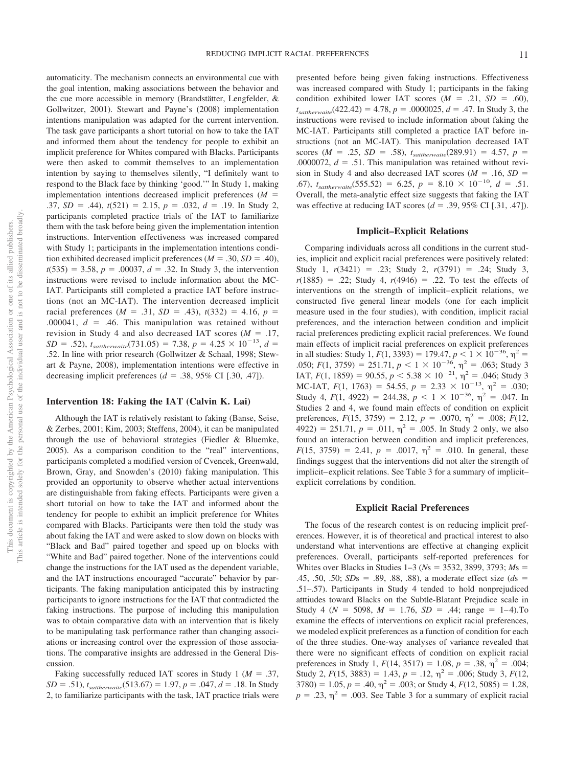automaticity. The mechanism connects an environmental cue with the goal intention, making associations between the behavior and the cue more accessible in memory (Brandstätter, Lengfelder, & Gollwitzer, 2001). Stewart and Payne's (2008) implementation intentions manipulation was adapted for the current intervention. The task gave participants a short tutorial on how to take the IAT and informed them about the tendency for people to exhibit an implicit preference for Whites compared with Blacks. Participants were then asked to commit themselves to an implementation intention by saying to themselves silently, "I definitely want to respond to the Black face by thinking 'good.'" In Study 1, making implementation intentions decreased implicit preferences (*M* .37,  $SD = .44$ ),  $t(521) = 2.15$ ,  $p = .032$ ,  $d = .19$ . In Study 2, participants completed practice trials of the IAT to familiarize them with the task before being given the implementation intention instructions. Intervention effectiveness was increased compared with Study 1; participants in the implementation intentions condition exhibited decreased implicit preferences  $(M = .30, SD = .40)$ ,  $t(535) = 3.58, p = .00037, d = .32$ . In Study 3, the intervention instructions were revised to include information about the MC-IAT. Participants still completed a practice IAT before instructions (not an MC-IAT). The intervention decreased implicit racial preferences ( $M = .31$ ,  $SD = .43$ ),  $t(332) = 4.16$ ,  $p =$ .000041,  $d = .46$ . This manipulation was retained without revision in Study 4 and also decreased IAT scores  $(M = .17, )$  $SD = .52$ ,  $t_{sattherwaite}$ (731.05) = 7.38,  $p = 4.25 \times 10^{-13}$ ,  $d =$ .52. In line with prior research (Gollwitzer & Schaal, 1998; Stewart & Payne, 2008), implementation intentions were effective in decreasing implicit preferences  $(d = .38, 95\% \text{ CI}$  [.30, .47]).

#### **Intervention 18: Faking the IAT (Calvin K. Lai)**

Although the IAT is relatively resistant to faking (Banse, Seise, & Zerbes, 2001; Kim, 2003; Steffens, 2004), it can be manipulated through the use of behavioral strategies (Fiedler & Bluemke, 2005). As a comparison condition to the "real" interventions, participants completed a modified version of Cvencek, Greenwald, Brown, Gray, and Snowden's (2010) faking manipulation. This provided an opportunity to observe whether actual interventions are distinguishable from faking effects. Participants were given a short tutorial on how to take the IAT and informed about the tendency for people to exhibit an implicit preference for Whites compared with Blacks. Participants were then told the study was about faking the IAT and were asked to slow down on blocks with "Black and Bad" paired together and speed up on blocks with "White and Bad" paired together. None of the interventions could change the instructions for the IAT used as the dependent variable, and the IAT instructions encouraged "accurate" behavior by participants. The faking manipulation anticipated this by instructing participants to ignore instructions for the IAT that contradicted the faking instructions. The purpose of including this manipulation was to obtain comparative data with an intervention that is likely to be manipulating task performance rather than changing associations or increasing control over the expression of those associations. The comparative insights are addressed in the General Discussion.

Faking successfully reduced IAT scores in Study 1 ( $M = .37$ ,  $SD = .51$ ,  $t_{satherwaite}$ (513.67) = 1.97, *p* = .047, *d* = .18. In Study 2, to familiarize participants with the task, IAT practice trials were

presented before being given faking instructions. Effectiveness was increased compared with Study 1; participants in the faking condition exhibited lower IAT scores  $(M = .21, SD = .60)$ ,  $t_{satherwaite}$ (422.42) = 4.78,  $p = .0000025$ ,  $d = .47$ . In Study 3, the instructions were revised to include information about faking the MC-IAT. Participants still completed a practice IAT before instructions (not an MC-IAT). This manipulation decreased IAT scores ( $M = .25$ ,  $SD = .58$ ),  $t_{sattherwaite}$ (289.91) = 4.57,  $p =$ .0000072,  $d = .51$ . This manipulation was retained without revision in Study 4 and also decreased IAT scores ( $M = .16$ ,  $SD =$ .67),  $t_{sattherwaite}$ (555.52) = 6.25,  $p = 8.10 \times 10^{-10}$ ,  $d = .51$ . Overall, the meta-analytic effect size suggests that faking the IAT was effective at reducing IAT scores  $(d = .39, 95\% \text{ CI} [.31, .47]).$ 

#### **Implicit–Explicit Relations**

Comparing individuals across all conditions in the current studies, implicit and explicit racial preferences were positively related: Study 1,  $r(3421) = .23$ ; Study 2,  $r(3791) = .24$ ; Study 3,  $r(1885)$  = .22; Study 4,  $r(4946)$  = .22. To test the effects of interventions on the strength of implicit– explicit relations, we constructed five general linear models (one for each implicit measure used in the four studies), with condition, implicit racial preferences, and the interaction between condition and implicit racial preferences predicting explicit racial preferences. We found main effects of implicit racial preferences on explicit preferences in all studies: Study 1,  $F(1, 3393) = 179.47, p < 1 \times 10^{-36}, \eta^2 =$ .050;  $F(1, 3759) = 251.71$ ,  $p < 1 \times 10^{-36}$ ,  $\eta^2 = .063$ ; Study 3 IAT,  $F(1, 1859) = 90.55$ ,  $p < 5.38 \times 10^{-21}$ ,  $\eta^2 = .046$ ; Study 3 MC-IAT,  $F(1, 1763) = 54.55$ ,  $p = 2.33 \times 10^{-13}$ ,  $\eta^2 = .030$ ; Study 4,  $F(1, 4922) = 244.38, p < 1 \times 10^{-36}, \eta^2 = .047$ . In Studies 2 and 4, we found main effects of condition on explicit preferences,  $F(15, 3759) = 2.12$ ,  $p = .0070$ ,  $\eta^2 = .008$ ;  $F(12,$  $(4922) = 251.71$ ,  $p = .011$ ,  $\eta^2 = .005$ . In Study 2 only, we also found an interaction between condition and implicit preferences,  $F(15, 3759) = 2.41, p = .0017, \eta^2 = .010$ . In general, these findings suggest that the interventions did not alter the strength of implicit– explicit relations. See Table 3 for a summary of implicit– explicit correlations by condition.

#### **Explicit Racial Preferences**

The focus of the research contest is on reducing implicit preferences. However, it is of theoretical and practical interest to also understand what interventions are effective at changing explicit preferences. Overall, participants self-reported preferences for Whites over Blacks in Studies  $1-3$  ( $N_s = 3532, 3899, 3793; M_s =$ .45, .50, .50; *SD*s .89, .88, .88), a moderate effect size (*d*s .51–.57). Participants in Study 4 tended to hold nonprejudiced atttiudes toward Blacks on the Subtle-Blatant Prejudice scale in Study 4 ( $N = 5098$ ,  $M = 1.76$ ,  $SD = .44$ ; range = 1–4).To examine the effects of interventions on explicit racial preferences, we modeled explicit preferences as a function of condition for each of the three studies. One-way analyses of variance revealed that there were no significant effects of condition on explicit racial preferences in Study 1,  $F(14, 3517) = 1.08$ ,  $p = .38$ ,  $\eta^2 = .004$ ; Study 2,  $F(15, 3883) = 1.43$ ,  $p = .12$ ,  $\eta^2 = .006$ ; Study 3,  $F(12, 12)$  $3780 = 1.05, p = .40, \eta^2 = .003$ ; or Study 4,  $F(12, 5085) = 1.28$ ,  $p = .23$ ,  $\eta^2 = .003$ . See Table 3 for a summary of explicit racial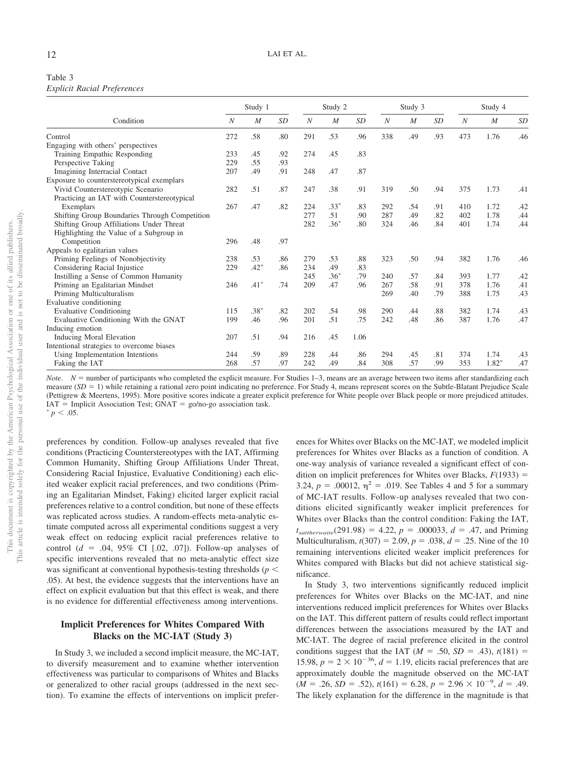| Table 3 |                                    |
|---------|------------------------------------|
|         | <b>Explicit Racial Preferences</b> |

| Condition                                     |     | Study 1        |           |                | Study 2        |           | Study 3        |                |           | Study 4          |                  |           |
|-----------------------------------------------|-----|----------------|-----------|----------------|----------------|-----------|----------------|----------------|-----------|------------------|------------------|-----------|
|                                               |     | $\overline{M}$ | <b>SD</b> | $\overline{N}$ | $\overline{M}$ | <b>SD</b> | $\overline{N}$ | $\overline{M}$ | <b>SD</b> | $\boldsymbol{N}$ | $\boldsymbol{M}$ | <b>SD</b> |
| Control                                       | 272 | .58            | .80       | 291            | .53            | .96       | 338            | .49            | .93       | 473              | 1.76             | .46       |
| Engaging with others' perspectives            |     |                |           |                |                |           |                |                |           |                  |                  |           |
| Training Empathic Responding                  | 233 | .45            | .92       | 274            | .45            | .83       |                |                |           |                  |                  |           |
| Perspective Taking                            | 229 | .55            | .93       |                |                |           |                |                |           |                  |                  |           |
| Imagining Interracial Contact                 | 207 | .49            | .91       | 248            | .47            | .87       |                |                |           |                  |                  |           |
| Exposure to counterstereotypical exemplars    |     |                |           |                |                |           |                |                |           |                  |                  |           |
| Vivid Counterstereotypic Scenario             | 282 | .51            | .87       | 247            | .38            | .91       | 319            | .50            | .94       | 375              | 1.73             | .41       |
| Practicing an IAT with Counterstereotypical   |     |                |           |                |                |           |                |                |           |                  |                  |           |
| Exemplars                                     | 267 | .47            | .82       | 224            | $.33*$         | .83       | 292            | .54            | .91       | 410              | 1.72             | .42       |
| Shifting Group Boundaries Through Competition |     |                |           | 277            | .51            | .90       | 287            | .49            | .82       | 402              | 1.78             | .44       |
| Shifting Group Affiliations Under Threat      |     |                |           | 282            | $.36*$         | .80       | 324            | .46            | .84       | 401              | 1.74             | .44       |
| Highlighting the Value of a Subgroup in       |     |                |           |                |                |           |                |                |           |                  |                  |           |
| Competition                                   | 296 | .48            | .97       |                |                |           |                |                |           |                  |                  |           |
| Appeals to egalitarian values                 |     |                |           |                |                |           |                |                |           |                  |                  |           |
| Priming Feelings of Nonobjectivity            | 238 | .53            | .86       | 279            | .53            | .88       | 323            | .50            | .94       | 382              | 1.76             | .46       |
| Considering Racial Injustice                  | 229 | $.42*$         | .86       | 234            | .49            | .83       |                |                |           |                  |                  |           |
| Instilling a Sense of Common Humanity         |     |                |           | 245            | $.36*$         | .79       | 240            | .57            | .84       | 393              | 1.77             | .42       |
| Priming an Egalitarian Mindset                | 246 | $.41*$         | .74       | 209            | .47            | .96       | 267            | .58            | .91       | 378              | 1.76             | .41       |
| Priming Multiculturalism                      |     |                |           |                |                |           | 269            | .40            | .79       | 388              | 1.75             | .43       |
| Evaluative conditioning                       |     |                |           |                |                |           |                |                |           |                  |                  |           |
| <b>Evaluative Conditioning</b>                | 115 | $.38*$         | .82       | 202            | .54            | .98       | 290            | .44            | .88       | 382              | 1.74             | .43       |
| Evaluative Conditioning With the GNAT         | 199 | .46            | .96       | 201            | .51            | .75       | 242            | .48            | .86       | 387              | 1.76             | .47       |
| Inducing emotion                              |     |                |           |                |                |           |                |                |           |                  |                  |           |
| <b>Inducing Moral Elevation</b>               | 207 | .51            | .94       | 216            | .45            | 1.06      |                |                |           |                  |                  |           |
| Intentional strategies to overcome biases     |     |                |           |                |                |           |                |                |           |                  |                  |           |
| Using Implementation Intentions               | 244 | .59            | .89       | 228            | .44            | .86       | 294            | .45            | .81       | 374              | 1.74             | .43       |
| Faking the IAT                                | 268 | .57            | .97       | 242            | .49            | .84       | 308            | .57            | .99       | 353              | $1.82*$          | .47       |

*Note.*  $N =$  number of participants who completed the explicit measure. For Studies 1–3, means are an average between two items after standardizing each measure ( $SD = 1$ ) while retaining a rational zero point indicating no preference. For Study 4, means represent scores on the Subtle-Blatant Prejudice Scale (Pettigrew & Meertens, 1995). More positive scores indicate a greater explicit preference for White people over Black people or more prejudiced attitudes. IAT = Implicit Association Test; GNAT =  $\text{go/no-go}$  association task.  $\phi$  *p* < .05.

preferences by condition. Follow-up analyses revealed that five conditions (Practicing Counterstereotypes with the IAT, Affirming Common Humanity, Shifting Group Affiliations Under Threat, Considering Racial Injustice, Evaluative Conditioning) each elicited weaker explicit racial preferences, and two conditions (Priming an Egalitarian Mindset, Faking) elicited larger explicit racial preferences relative to a control condition, but none of these effects was replicated across studies. A random-effects meta-analytic estimate computed across all experimental conditions suggest a very weak effect on reducing explicit racial preferences relative to control  $(d = .04, 95\% \text{ CI} [.02, .07])$ . Follow-up analyses of specific interventions revealed that no meta-analytic effect size was significant at conventional hypothesis-testing thresholds (*p* .05). At best, the evidence suggests that the interventions have an effect on explicit evaluation but that this effect is weak, and there is no evidence for differential effectiveness among interventions.

#### **Implicit Preferences for Whites Compared With Blacks on the MC-IAT (Study 3)**

In Study 3, we included a second implicit measure, the MC-IAT, to diversify measurement and to examine whether intervention effectiveness was particular to comparisons of Whites and Blacks or generalized to other racial groups (addressed in the next section). To examine the effects of interventions on implicit prefer-

ences for Whites over Blacks on the MC-IAT, we modeled implicit preferences for Whites over Blacks as a function of condition. A one-way analysis of variance revealed a significant effect of condition on implicit preferences for Whites over Blacks, *F*(1933) 3.24,  $p = .00012$ ,  $\eta^2 = .019$ . See Tables 4 and 5 for a summary of MC-IAT results. Follow-up analyses revealed that two conditions elicited significantly weaker implicit preferences for Whites over Blacks than the control condition: Faking the IAT,  $t_{sattherwaite}(291.98) = 4.22, p = .000033, d = .47, and Priming$ Multiculturalism,  $t(307) = 2.09$ ,  $p = .038$ ,  $d = .25$ . Nine of the 10 remaining interventions elicited weaker implicit preferences for Whites compared with Blacks but did not achieve statistical significance.

In Study 3, two interventions significantly reduced implicit preferences for Whites over Blacks on the MC-IAT, and nine interventions reduced implicit preferences for Whites over Blacks on the IAT. This different pattern of results could reflect important differences between the associations measured by the IAT and MC-IAT. The degree of racial preference elicited in the control conditions suggest that the IAT ( $M = .50$ ,  $SD = .43$ ),  $t(181) =$ 15.98,  $p = 2 \times 10^{-36}$ ,  $d = 1.19$ , elicits racial preferences that are approximately double the magnitude observed on the MC-IAT  $(M = .26, SD = .52), t(161) = 6.28, p = 2.96 \times 10^{-9}, d = .49.$ The likely explanation for the difference in the magnitude is that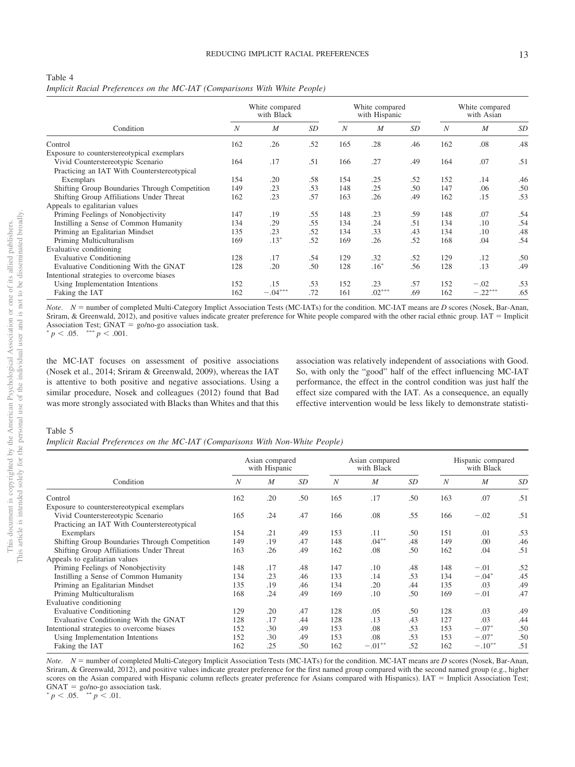| Table 4                                                                   |  |  |  |  |
|---------------------------------------------------------------------------|--|--|--|--|
| Implicit Racial Preferences on the MC-IAT (Comparisons With White People) |  |  |  |  |

|                                               |     | White compared<br>with Black |     | White compared<br>with Hispanic |                  | White compared<br>with Asian |                  |                  |           |
|-----------------------------------------------|-----|------------------------------|-----|---------------------------------|------------------|------------------------------|------------------|------------------|-----------|
| Condition                                     | N   | $\overline{M}$               | SD  | N                               | $\boldsymbol{M}$ | SD                           | $\boldsymbol{N}$ | $\boldsymbol{M}$ | <b>SD</b> |
| Control                                       | 162 | .26                          | .52 | 165                             | .28              | .46                          | 162              | .08              | .48       |
| Exposure to counterstereotypical exemplars    |     |                              |     |                                 |                  |                              |                  |                  |           |
| Vivid Counterstereotypic Scenario             | 164 | .17                          | .51 | 166                             | .27              | .49                          | 164              | .07              | .51       |
| Practicing an IAT With Counterstereotypical   |     |                              |     |                                 |                  |                              |                  |                  |           |
| Exemplars                                     | 154 | .20                          | .58 | 154                             | .25              | .52                          | 152              | .14              | .46       |
| Shifting Group Boundaries Through Competition | 149 | .23                          | .53 | 148                             | .25              | .50                          | 147              | .06              | .50       |
| Shifting Group Affiliations Under Threat      | 162 | .23                          | .57 | 163                             | .26              | .49                          | 162              | .15              | .53       |
| Appeals to egalitarian values                 |     |                              |     |                                 |                  |                              |                  |                  |           |
| Priming Feelings of Nonobjectivity            | 147 | .19                          | .55 | 148                             | .23              | .59                          | 148              | .07              | .54       |
| Instilling a Sense of Common Humanity         | 134 | .29                          | .55 | 134                             | .24              | .51                          | 134              | .10              | .54       |
| Priming an Egalitarian Mindset                | 135 | .23                          | .52 | 134                             | .33              | .43                          | 134              | .10              | .48       |
| Priming Multiculturalism                      | 169 | $.13*$                       | .52 | 169                             | .26              | .52                          | 168              | .04              | .54       |
| Evaluative conditioning                       |     |                              |     |                                 |                  |                              |                  |                  |           |
| <b>Evaluative Conditioning</b>                | 128 | .17                          | .54 | 129                             | .32              | .52                          | 129              | .12              | .50       |
| Evaluative Conditioning With the GNAT         | 128 | .20                          | .50 | 128                             | $.16*$           | .56                          | 128              | .13              | .49       |
| Intentional strategies to overcome biases     |     |                              |     |                                 |                  |                              |                  |                  |           |
| Using Implementation Intentions               | 152 | .15                          | .53 | 152                             | .23              | .57                          | 152              | $-.02$           | .53       |
| Faking the IAT                                | 162 | $-.04***$                    | .72 | 161                             | $.02***$         | .69                          | 162              | $-.22***$        | .65       |

*Note.*  $N =$  number of completed Multi-Category Implict Association Tests (MC-IATs) for the condition. MC-IAT means are *D* scores (Nosek, Bar-Anan, Sriram, & Greenwald, 2012), and positive values indicate greater preference for White people compared with the other racial ethnic group.  $IAT = Implicit$ Association Test; GNAT = go/no-go association task.  $p < .05$ .  $p < .001$ .

the MC-IAT focuses on assessment of positive associations (Nosek et al., 2014; Sriram & Greenwald, 2009), whereas the IAT is attentive to both positive and negative associations. Using a similar procedure, Nosek and colleagues (2012) found that Bad was more strongly associated with Blacks than Whites and that this

association was relatively independent of associations with Good. So, with only the "good" half of the effect influencing MC-IAT performance, the effect in the control condition was just half the effect size compared with the IAT. As a consequence, an equally effective intervention would be less likely to demonstrate statisti-

#### Table 5

| Implicit Racial Preferences on the MC-IAT (Comparisons With Non-White People) |  |
|-------------------------------------------------------------------------------|--|
|-------------------------------------------------------------------------------|--|

|                                               |     | Asian compared<br>with Hispanic |     |                  | Asian compared<br>with Black |     | Hispanic compared<br>with Black |                  |     |  |
|-----------------------------------------------|-----|---------------------------------|-----|------------------|------------------------------|-----|---------------------------------|------------------|-----|--|
| Condition                                     | N   | $\boldsymbol{M}$                | SD  | $\boldsymbol{N}$ | $\boldsymbol{M}$             | SD  | $\boldsymbol{N}$                | $\boldsymbol{M}$ | SD  |  |
| Control                                       | 162 | .20                             | .50 | 165              | .17                          | .50 | 163                             | .07              | .51 |  |
| Exposure to counterstereotypical exemplars    |     |                                 |     |                  |                              |     |                                 |                  |     |  |
| Vivid Counterstereotypic Scenario             | 165 | .24                             | .47 | 166              | .08                          | .55 | 166                             | $-.02$           | .51 |  |
| Practicing an IAT With Counterstereotypical   |     |                                 |     |                  |                              |     |                                 |                  |     |  |
| Exemplars                                     | 154 | .21                             | .49 | 153              | .11                          | .50 | 151                             | .01              | .53 |  |
| Shifting Group Boundaries Through Competition | 149 | .19                             | .47 | 148              | $.04***$                     | .48 | 149                             | .00              | .46 |  |
| Shifting Group Affiliations Under Threat      | 163 | .26                             | .49 | 162              | .08                          | .50 | 162                             | .04              | .51 |  |
| Appeals to egalitarian values                 |     |                                 |     |                  |                              |     |                                 |                  |     |  |
| Priming Feelings of Nonobjectivity            | 148 | .17                             | .48 | 147              | .10                          | .48 | 148                             | $-.01$           | .52 |  |
| Instilling a Sense of Common Humanity         | 134 | .23                             | .46 | 133              | .14                          | .53 | 134                             | $-.04*$          | .45 |  |
| Priming an Egalitarian Mindset                | 135 | .19                             | .46 | 134              | .20                          | .44 | 135                             | .03              | .49 |  |
| Priming Multiculturalism                      | 168 | .24                             | .49 | 169              | .10                          | .50 | 169                             | $-.01$           | .47 |  |
| Evaluative conditioning                       |     |                                 |     |                  |                              |     |                                 |                  |     |  |
| <b>Evaluative Conditioning</b>                | 129 | .20                             | .47 | 128              | .05                          | .50 | 128                             | .03              | .49 |  |
| Evaluative Conditioning With the GNAT         | 128 | .17                             | .44 | 128              | .13                          | .43 | 127                             | .03              | .44 |  |
| Intentional strategies to overcome biases     | 152 | .30                             | .49 | 153              | .08                          | .53 | 153                             | $-.07*$          | .50 |  |
| Using Implementation Intentions               | 152 | .30                             | .49 | 153              | .08                          | .53 | 153                             | $-.07*$          | .50 |  |
| Faking the IAT                                | 162 | .25                             | .50 | 162              | $-.01***$                    | .52 | 162                             | $-.10***$        | .51 |  |

*Note.*  $N =$  number of completed Multi-Category Implicit Association Tests (MC-IATs) for the condition. MC-IAT means are *D* scores (Nosek, Bar-Anan, Sriram, & Greenwald, 2012), and positive values indicate greater preference for the first named group compared with the second named group (e.g., higher scores on the Asian compared with Hispanic column reflects greater preference for Asians compared with Hispanics). IAT = Implicit Association Test; GNAT = go/no-go association task.<br>  ${}^*p$  < .05.  ${}^{**}p$  < .01.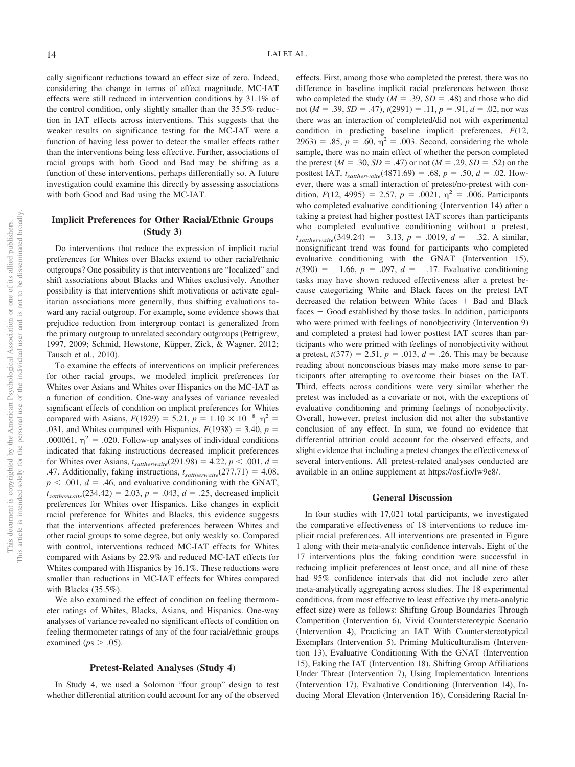cally significant reductions toward an effect size of zero. Indeed, considering the change in terms of effect magnitude, MC-IAT effects were still reduced in intervention conditions by 31.1% of the control condition, only slightly smaller than the 35.5% reduction in IAT effects across interventions. This suggests that the weaker results on significance testing for the MC-IAT were a function of having less power to detect the smaller effects rather than the interventions being less effective. Further, associations of racial groups with both Good and Bad may be shifting as a function of these interventions, perhaps differentially so. A future investigation could examine this directly by assessing associations with both Good and Bad using the MC-IAT.

#### **Implicit Preferences for Other Racial/Ethnic Groups (Study 3)**

Do interventions that reduce the expression of implicit racial preferences for Whites over Blacks extend to other racial/ethnic outgroups? One possibility is that interventions are "localized" and shift associations about Blacks and Whites exclusively. Another possibility is that interventions shift motivations or activate egalitarian associations more generally, thus shifting evaluations toward any racial outgroup. For example, some evidence shows that prejudice reduction from intergroup contact is generalized from the primary outgroup to unrelated secondary outgroups (Pettigrew, 1997, 2009; Schmid, Hewstone, Küpper, Zick, & Wagner, 2012; Tausch et al., 2010).

To examine the effects of interventions on implicit preferences for other racial groups, we modeled implicit preferences for Whites over Asians and Whites over Hispanics on the MC-IAT as a function of condition. One-way analyses of variance revealed significant effects of condition on implicit preferences for Whites compared with Asians,  $F(1929) = 5.21$ ,  $p = 1.10 \times 10^{-8}$ ,  $\eta^2 =$ .031, and Whites compared with Hispanics,  $F(1938) = 3.40$ ,  $p =$ .000061,  $\eta^2$  = .020. Follow-up analyses of individual conditions indicated that faking instructions decreased implicit preferences for Whites over Asians,  $t_{satherwaite}$ (291.98) = 4.22,  $p < .001$ ,  $d =$ .47. Additionally, faking instructions, *tsattherwaite*(277.71) 4.08,  $p < .001$ ,  $d = .46$ , and evaluative conditioning with the GNAT,  $t_{satherwaite}$ (234.42) = 2.03,  $p = .043$ ,  $d = .25$ , decreased implicit preferences for Whites over Hispanics. Like changes in explicit racial preference for Whites and Blacks, this evidence suggests that the interventions affected preferences between Whites and other racial groups to some degree, but only weakly so. Compared with control, interventions reduced MC-IAT effects for Whites compared with Asians by 22.9% and reduced MC-IAT effects for Whites compared with Hispanics by 16.1%. These reductions were smaller than reductions in MC-IAT effects for Whites compared with Blacks (35.5%).

We also examined the effect of condition on feeling thermometer ratings of Whites, Blacks, Asians, and Hispanics. One-way analyses of variance revealed no significant effects of condition on feeling thermometer ratings of any of the four racial/ethnic groups examined ( $p_s > .05$ ).

#### **Pretest-Related Analyses (Study 4)**

In Study 4, we used a Solomon "four group" design to test whether differential attrition could account for any of the observed effects. First, among those who completed the pretest, there was no difference in baseline implicit racial preferences between those who completed the study ( $M = .39$ ,  $SD = .48$ ) and those who did not ( $M = .39$ ,  $SD = .47$ ),  $t(2991) = .11$ ,  $p = .91$ ,  $d = .02$ , nor was there was an interaction of completed/did not with experimental condition in predicting baseline implicit preferences, *F*(12,  $2963$ ) = .85,  $p = .60$ ,  $\eta^2 = .003$ . Second, considering the whole sample, there was no main effect of whether the person completed the pretest ( $M = .30$ ,  $SD = .47$ ) or not ( $M = .29$ ,  $SD = .52$ ) on the posttest IAT,  $t_{satherwaite}$ (4871.69) = .68,  $p = .50$ ,  $d = .02$ . However, there was a small interaction of pretest/no-pretest with condition,  $F(12, 4995) = 2.57$ ,  $p = .0021$ ,  $\eta^2 = .006$ . Participants who completed evaluative conditioning (Intervention 14) after a taking a pretest had higher posttest IAT scores than participants who completed evaluative conditioning without a pretest,  $t_{satherwise}(349.24) = -3.13$ ,  $p = .0019$ ,  $d = -.32$ . A similar, nonsignificant trend was found for participants who completed evaluative conditioning with the GNAT (Intervention 15),  $t(390) = -1.66$ ,  $p = .097$ ,  $d = -.17$ . Evaluative conditioning tasks may have shown reduced effectiveness after a pretest because categorizing White and Black faces on the pretest IAT decreased the relation between White faces  $+$  Bad and Black  $faces + Good established by those tasks. In addition, participants$ who were primed with feelings of nonobjectivity (Intervention 9) and completed a pretest had lower posttest IAT scores than participants who were primed with feelings of nonobjectivity without a pretest,  $t(377) = 2.51$ ,  $p = .013$ ,  $d = .26$ . This may be because reading about nonconscious biases may make more sense to participants after attempting to overcome their biases on the IAT. Third, effects across conditions were very similar whether the pretest was included as a covariate or not, with the exceptions of evaluative conditioning and priming feelings of nonobjectivity. Overall, however, pretest inclusion did not alter the substantive conclusion of any effect. In sum, we found no evidence that differential attrition could account for the observed effects, and slight evidence that including a pretest changes the effectiveness of several interventions. All pretest-related analyses conducted are available in an online supplement at https://osf.io/lw9e8/.

#### **General Discussion**

In four studies with 17,021 total participants, we investigated the comparative effectiveness of 18 interventions to reduce implicit racial preferences. All interventions are presented in Figure 1 along with their meta-analytic confidence intervals. Eight of the 17 interventions plus the faking condition were successful in reducing implicit preferences at least once, and all nine of these had 95% confidence intervals that did not include zero after meta-analytically aggregating across studies. The 18 experimental conditions, from most effective to least effective (by meta-analytic effect size) were as follows: Shifting Group Boundaries Through Competition (Intervention 6), Vivid Counterstereotypic Scenario (Intervention 4), Practicing an IAT With Counterstereotypical Exemplars (Intervention 5), Priming Multiculturalism (Intervention 13), Evaluative Conditioning With the GNAT (Intervention 15), Faking the IAT (Intervention 18), Shifting Group Affiliations Under Threat (Intervention 7), Using Implementation Intentions (Intervention 17), Evaluative Conditioning (Intervention 14), Inducing Moral Elevation (Intervention 16), Considering Racial In-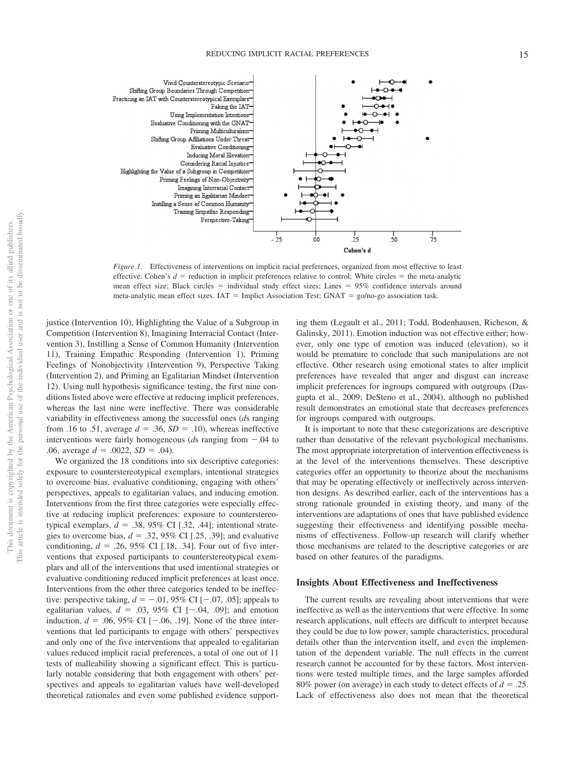#### REDUCING IMPLICIT RACIAL PREFERENCES 15



*Figure 1.* Effectiveness of interventions on implicit racial preferences, organized from most effective to least effective. Cohen's  $d =$  reduction in implicit preferences relative to control; White circles  $=$  the meta-analytic mean effect size; Black circles = individual study effect sizes; Lines = 95% confidence intervals around meta-analytic mean effect sizes. IAT = Implict Association Test; GNAT =  $g_0$ /no-go association task.

justice (Intervention 10), Highlighting the Value of a Subgroup in Competition (Intervention 8), Imagining Interracial Contact (Intervention 3), Instilling a Sense of Common Humanity (Intervention 11), Training Empathic Responding (Intervention 1), Priming Feelings of Nonobjectivity (Intervention 9), Perspective Taking (Intervention 2), and Priming an Egalitarian Mindset (Intervention 12). Using null hypothesis significance testing, the first nine conditions listed above were effective at reducing implicit preferences, whereas the last nine were ineffective. There was considerable variability in effectiveness among the successful ones (*d*s ranging from .16 to .51, average  $d = .36$ ,  $SD = .10$ ), whereas ineffective interventions were fairly homogeneous ( $ds$  ranging from  $-.04$  to .06, average  $d = .0022$ ,  $SD = .04$ ).

We organized the 18 conditions into six descriptive categories: exposure to counterstereotypical exemplars, intentional strategies to overcome bias, evaluative conditioning, engaging with others' perspectives, appeals to egalitarian values, and inducing emotion. Interventions from the first three categories were especially effective at reducing implicit preferences: exposure to counterstereotypical exemplars,  $d = .38, 95\%$  CI [.32, .44]; intentional strategies to overcome bias,  $d = .32, 95\%$  CI [.25, .39]; and evaluative conditioning,  $d = .26, 95\%$  CI [.18, .34]. Four out of five interventions that exposed participants to counterstereotypical exemplars and all of the interventions that used intentional strategies or evaluative conditioning reduced implicit preferences at least once. Interventions from the other three categories tended to be ineffective: perspective taking,  $d = -.01, 95\%$  CI [ $-.07, .05$ ]; appeals to egalitarian values,  $d = .03, 95\%$  CI  $[-.04, .09]$ ; and emotion induction,  $d = .06, 95\%$  CI  $[-.06, .19]$ . None of the three interventions that led participants to engage with others' perspectives and only one of the five interventions that appealed to egalitarian values reduced implicit racial preferences, a total of one out of 11 tests of malleability showing a significant effect. This is particularly notable considering that both engagement with others' perspectives and appeals to egalitarian values have well-developed theoretical rationales and even some published evidence supporting them (Legault et al., 2011; Todd, Bodenhausen, Richeson, & Galinsky, 2011). Emotion induction was not effective either; however, only one type of emotion was induced (elevation), so it would be premature to conclude that such manipulations are not effective. Other research using emotional states to alter implicit preferences have revealed that anger and disgust can increase implicit preferences for ingroups compared with outgroups (Dasgupta et al., 2009; DeSteno et al., 2004), although no published result demonstrates an emotional state that decreases preferences for ingroups compared with outgroups.

It is important to note that these categorizations are descriptive rather than denotative of the relevant psychological mechanisms. The most appropriate interpretation of intervention effectiveness is at the level of the interventions themselves. These descriptive categories offer an opportunity to theorize about the mechanisms that may be operating effectively or ineffectively across intervention designs. As described earlier, each of the interventions has a strong rationale grounded in existing theory, and many of the interventions are adaptations of ones that have published evidence suggesting their effectiveness and identifying possible mechanisms of effectiveness. Follow-up research will clarify whether those mechanisms are related to the descriptive categories or are based on other features of the paradigms.

#### **Insights About Effectiveness and Ineffectiveness**

The current results are revealing about interventions that were ineffective as well as the interventions that were effective. In some research applications, null effects are difficult to interpret because they could be due to low power, sample characteristics, procedural details other than the intervention itself, and even the implementation of the dependent variable. The null effects in the current research cannot be accounted for by these factors. Most interventions were tested multiple times, and the large samples afforded 80% power (on average) in each study to detect effects of  $d = .25$ . Lack of effectiveness also does not mean that the theoretical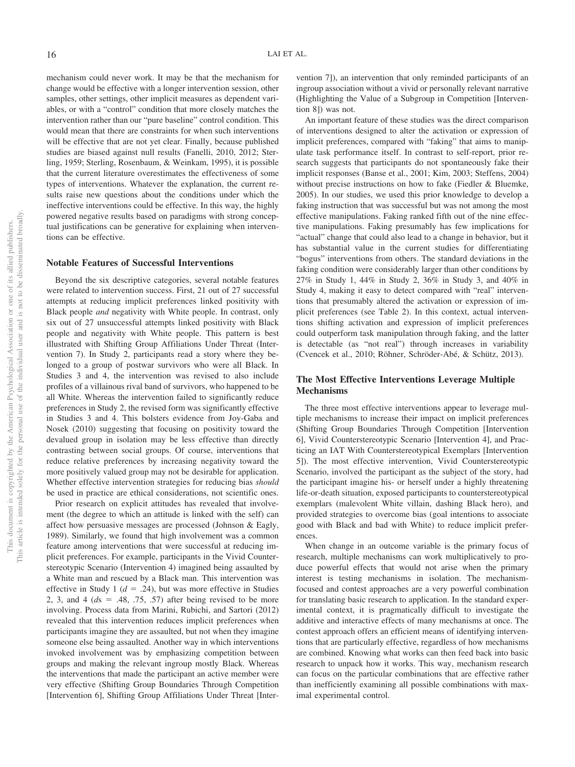mechanism could never work. It may be that the mechanism for change would be effective with a longer intervention session, other samples, other settings, other implicit measures as dependent variables, or with a "control" condition that more closely matches the intervention rather than our "pure baseline" control condition. This would mean that there are constraints for when such interventions will be effective that are not yet clear. Finally, because published studies are biased against null results (Fanelli, 2010, 2012; Sterling, 1959; Sterling, Rosenbaum, & Weinkam, 1995), it is possible that the current literature overestimates the effectiveness of some types of interventions. Whatever the explanation, the current results raise new questions about the conditions under which the ineffective interventions could be effective. In this way, the highly powered negative results based on paradigms with strong conceptual justifications can be generative for explaining when interventions can be effective.

#### **Notable Features of Successful Interventions**

Beyond the six descriptive categories, several notable features were related to intervention success. First, 21 out of 27 successful attempts at reducing implicit preferences linked positivity with Black people *and* negativity with White people. In contrast, only six out of 27 unsuccessful attempts linked positivity with Black people and negativity with White people. This pattern is best illustrated with Shifting Group Affiliations Under Threat (Intervention 7). In Study 2, participants read a story where they belonged to a group of postwar survivors who were all Black. In Studies 3 and 4, the intervention was revised to also include profiles of a villainous rival band of survivors, who happened to be all White. Whereas the intervention failed to significantly reduce preferences in Study 2, the revised form was significantly effective in Studies 3 and 4. This bolsters evidence from Joy-Gaba and Nosek (2010) suggesting that focusing on positivity toward the devalued group in isolation may be less effective than directly contrasting between social groups. Of course, interventions that reduce relative preferences by increasing negativity toward the more positively valued group may not be desirable for application. Whether effective intervention strategies for reducing bias *should* be used in practice are ethical considerations, not scientific ones.

Prior research on explicit attitudes has revealed that involvement (the degree to which an attitude is linked with the self) can affect how persuasive messages are processed (Johnson & Eagly, 1989). Similarly, we found that high involvement was a common feature among interventions that were successful at reducing implicit preferences. For example, participants in the Vivid Counterstereotypic Scenario (Intervention 4) imagined being assaulted by a White man and rescued by a Black man. This intervention was effective in Study 1 ( $d = .24$ ), but was more effective in Studies 2, 3, and 4 ( $ds = .48, .75, .57$ ) after being revised to be more involving. Process data from Marini, Rubichi, and Sartori (2012) revealed that this intervention reduces implicit preferences when participants imagine they are assaulted, but not when they imagine someone else being assaulted. Another way in which interventions invoked involvement was by emphasizing competition between groups and making the relevant ingroup mostly Black. Whereas the interventions that made the participant an active member were very effective (Shifting Group Boundaries Through Competition [Intervention 6], Shifting Group Affiliations Under Threat [Intervention 7]), an intervention that only reminded participants of an ingroup association without a vivid or personally relevant narrative (Highlighting the Value of a Subgroup in Competition [Intervention 8]) was not.

An important feature of these studies was the direct comparison of interventions designed to alter the activation or expression of implicit preferences, compared with "faking" that aims to manipulate task performance itself. In contrast to self-report, prior research suggests that participants do not spontaneously fake their implicit responses (Banse et al., 2001; Kim, 2003; Steffens, 2004) without precise instructions on how to fake (Fiedler & Bluemke, 2005). In our studies, we used this prior knowledge to develop a faking instruction that was successful but was not among the most effective manipulations. Faking ranked fifth out of the nine effective manipulations. Faking presumably has few implications for "actual" change that could also lead to a change in behavior, but it has substantial value in the current studies for differentiating "bogus" interventions from others. The standard deviations in the faking condition were considerably larger than other conditions by 27% in Study 1, 44% in Study 2, 36% in Study 3, and 40% in Study 4, making it easy to detect compared with "real" interventions that presumably altered the activation or expression of implicit preferences (see Table 2). In this context, actual interventions shifting activation and expression of implicit preferences could outperform task manipulation through faking, and the latter is detectable (as "not real") through increases in variability (Cvencek et al., 2010; Röhner, Schröder-Abé, & Schütz, 2013).

### **The Most Effective Interventions Leverage Multiple Mechanisms**

The three most effective interventions appear to leverage multiple mechanisms to increase their impact on implicit preferences (Shifting Group Boundaries Through Competition [Intervention 6], Vivid Counterstereotypic Scenario [Intervention 4], and Practicing an IAT With Counterstereotypical Exemplars [Intervention 5]). The most effective intervention, Vivid Counterstereotypic Scenario, involved the participant as the subject of the story, had the participant imagine his- or herself under a highly threatening life-or-death situation, exposed participants to counterstereotypical exemplars (malevolent White villain, dashing Black hero), and provided strategies to overcome bias (goal intentions to associate good with Black and bad with White) to reduce implicit preferences.

When change in an outcome variable is the primary focus of research, multiple mechanisms can work multiplicatively to produce powerful effects that would not arise when the primary interest is testing mechanisms in isolation. The mechanismfocused and contest approaches are a very powerful combination for translating basic research to application. In the standard experimental context, it is pragmatically difficult to investigate the additive and interactive effects of many mechanisms at once. The contest approach offers an efficient means of identifying interventions that are particularly effective, regardless of how mechanisms are combined. Knowing what works can then feed back into basic research to unpack how it works. This way, mechanism research can focus on the particular combinations that are effective rather than inefficiently examining all possible combinations with maximal experimental control.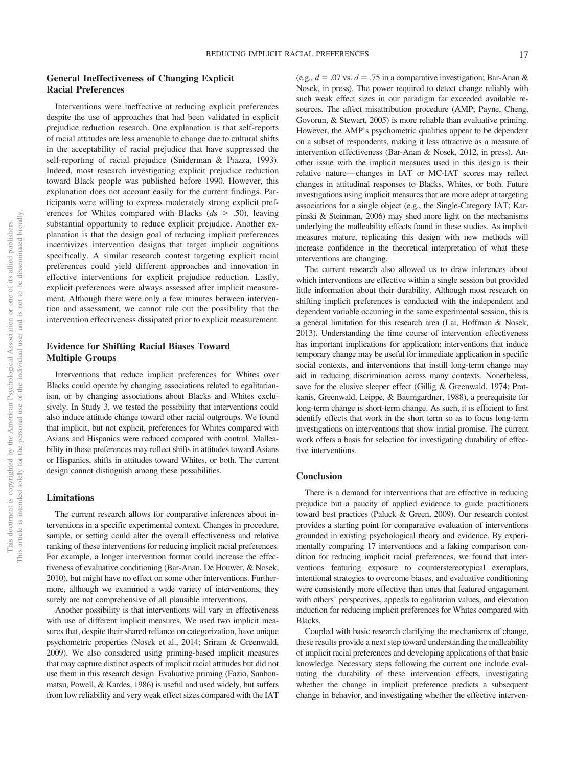#### **General Ineffectiveness of Changing Explicit Racial Preferences**

Interventions were ineffective at reducing explicit preferences despite the use of approaches that had been validated in explicit prejudice reduction research. One explanation is that self-reports of racial attitudes are less amenable to change due to cultural shifts in the acceptability of racial prejudice that have suppressed the self-reporting of racial prejudice (Sniderman & Piazza, 1993). Indeed, most research investigating explicit prejudice reduction toward Black people was published before 1990. However, this explanation does not account easily for the current findings. Participants were willing to express moderately strong explicit preferences for Whites compared with Blacks ( $ds > .50$ ), leaving substantial opportunity to reduce explicit prejudice. Another explanation is that the design goal of reducing implicit preferences incentivizes intervention designs that target implicit cognitions specifically. A similar research contest targeting explicit racial preferences could yield different approaches and innovation in effective interventions for explicit prejudice reduction. Lastly, explicit preferences were always assessed after implicit measurement. Although there were only a few minutes between intervention and assessment, we cannot rule out the possibility that the intervention effectiveness dissipated prior to explicit measurement.

### **Evidence for Shifting Racial Biases Toward Multiple Groups**

Interventions that reduce implicit preferences for Whites over Blacks could operate by changing associations related to egalitarianism, or by changing associations about Blacks and Whites exclusively. In Study 3, we tested the possibility that interventions could also induce attitude change toward other racial outgroups. We found that implicit, but not explicit, preferences for Whites compared with Asians and Hispanics were reduced compared with control. Malleability in these preferences may reflect shifts in attitudes toward Asians or Hispanics, shifts in attitudes toward Whites, or both. The current design cannot distinguish among these possibilities.

#### **Limitations**

The current research allows for comparative inferences about interventions in a specific experimental context. Changes in procedure, sample, or setting could alter the overall effectiveness and relative ranking of these interventions for reducing implicit racial preferences. For example, a longer intervention format could increase the effectiveness of evaluative conditioning (Bar-Anan, De Houwer, & Nosek, 2010), but might have no effect on some other interventions. Furthermore, although we examined a wide variety of interventions, they surely are not comprehensive of all plausible interventions.

Another possibility is that interventions will vary in effectiveness with use of different implicit measures. We used two implicit measures that, despite their shared reliance on categorization, have unique psychometric properties (Nosek et al., 2014; Sriram & Greenwald, 2009). We also considered using priming-based implicit measures that may capture distinct aspects of implicit racial attitudes but did not use them in this research design. Evaluative priming (Fazio, Sanbonmatsu, Powell, & Kardes, 1986) is useful and used widely, but suffers from low reliability and very weak effect sizes compared with the IAT

(e.g.,  $d = .07$  vs.  $d = .75$  in a comparative investigation; Bar-Anan & Nosek, in press). The power required to detect change reliably with such weak effect sizes in our paradigm far exceeded available resources. The affect misattribution procedure (AMP; Payne, Cheng, Govorun, & Stewart, 2005) is more reliable than evaluative priming. However, the AMP's psychometric qualities appear to be dependent on a subset of respondents, making it less attractive as a measure of intervention effectiveness (Bar-Anan & Nosek, 2012, in press). Another issue with the implicit measures used in this design is their relative nature—changes in IAT or MC-IAT scores may reflect changes in attitudinal responses to Blacks, Whites, or both. Future investigations using implicit measures that are more adept at targeting associations for a single object (e.g., the Single-Category IAT; Karpinski & Steinman, 2006) may shed more light on the mechanisms underlying the malleability effects found in these studies. As implicit measures mature, replicating this design with new methods will increase confidence in the theoretical interpretation of what these interventions are changing.

The current research also allowed us to draw inferences about which interventions are effective within a single session but provided little information about their durability. Although most research on shifting implicit preferences is conducted with the independent and dependent variable occurring in the same experimental session, this is a general limitation for this research area (Lai, Hoffman & Nosek, 2013). Understanding the time course of intervention effectiveness has important implications for application; interventions that induce temporary change may be useful for immediate application in specific social contexts, and interventions that instill long-term change may aid in reducing discrimination across many contexts. Nonetheless, save for the elusive sleeper effect (Gillig & Greenwald, 1974; Pratkanis, Greenwald, Leippe, & Baumgardner, 1988), a prerequisite for long-term change is short-term change. As such, it is efficient to first identify effects that work in the short term so as to focus long-term investigations on interventions that show initial promise. The current work offers a basis for selection for investigating durability of effective interventions.

#### **Conclusion**

There is a demand for interventions that are effective in reducing prejudice but a paucity of applied evidence to guide practitioners toward best practices (Paluck & Green, 2009). Our research contest provides a starting point for comparative evaluation of interventions grounded in existing psychological theory and evidence. By experimentally comparing 17 interventions and a faking comparison condition for reducing implicit racial preferences, we found that interventions featuring exposure to counterstereotypical exemplars, intentional strategies to overcome biases, and evaluative conditioning were consistently more effective than ones that featured engagement with others' perspectives, appeals to egalitarian values, and elevation induction for reducing implicit preferences for Whites compared with Blacks.

Coupled with basic research clarifying the mechanisms of change, these results provide a next step toward understanding the malleability of implicit racial preferences and developing applications of that basic knowledge. Necessary steps following the current one include evaluating the durability of these intervention effects, investigating whether the change in implicit preference predicts a subsequent change in behavior, and investigating whether the effective interven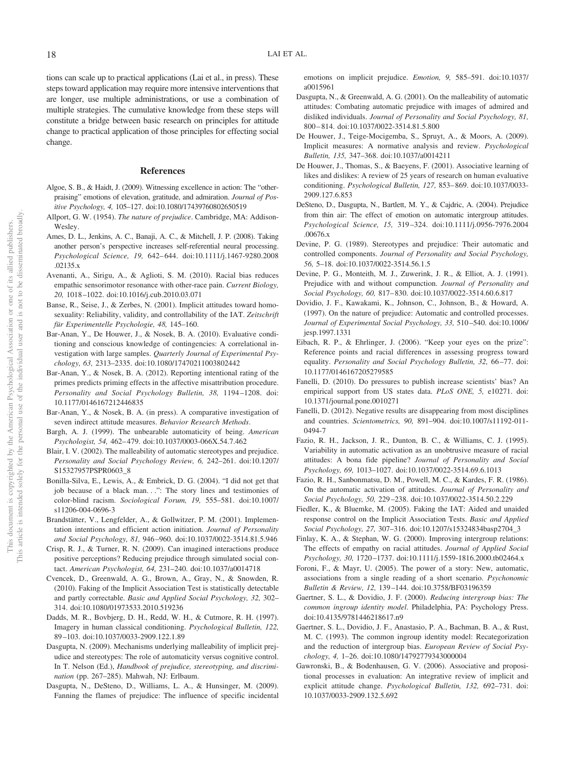tions can scale up to practical applications (Lai et al., in press). These steps toward application may require more intensive interventions that are longer, use multiple administrations, or use a combination of multiple strategies. The cumulative knowledge from these steps will constitute a bridge between basic research on principles for attitude change to practical application of those principles for effecting social change.

#### **References**

- Algoe, S. B., & Haidt, J. (2009). Witnessing excellence in action: The "otherpraising" emotions of elevation, gratitude, and admiration. *Journal of Positive Psychology, 4,* 105–127. doi:10.1080/17439760802650519
- Allport, G. W. (1954). *The nature of prejudice*. Cambridge, MA: Addison-Wesley.
- Ames, D. L., Jenkins, A. C., Banaji, A. C., & Mitchell, J. P. (2008). Taking another person's perspective increases self-referential neural processing. *Psychological Science, 19,* 642– 644. doi:10.1111/j.1467-9280.2008 .02135.x
- Avenanti, A., Sirigu, A., & Aglioti, S. M. (2010). Racial bias reduces empathic sensorimotor resonance with other-race pain. *Current Biology, 20,* 1018 –1022. doi:10.1016/j.cub.2010.03.071
- Banse, R., Seise, J., & Zerbes, N. (2001). Implicit attitudes toward homosexuality: Reliability, validity, and controllability of the IAT. *Zeitschrift für Experimentelle Psychologie, 48,* 145–160.
- Bar-Anan, Y., De Houwer, J., & Nosek, B. A. (2010). Evaluative conditioning and conscious knowledge of contingencies: A correlational investigation with large samples. *Quarterly Journal of Experimental Psychology, 63,* 2313–2335. doi:10.1080/17470211003802442
- Bar-Anan, Y., & Nosek, B. A. (2012). Reporting intentional rating of the primes predicts priming effects in the affective misattribution procedure. *Personality and Social Psychology Bulletin, 38,* 1194 –1208. doi: 10.1177/0146167212446835
- Bar-Anan, Y., & Nosek, B. A. (in press). A comparative investigation of seven indirect attitude measures. *Behavior Research Methods*.
- Bargh, A. J. (1999). The unbearable automaticity of being. *American Psychologist, 54,* 462– 479. doi:10.1037/0003-066X.54.7.462
- Blair, I. V. (2002). The malleability of automatic stereotypes and prejudice. *Personality and Social Psychology Review, 6,* 242–261. doi:10.1207/ S15327957PSPR0603\_8
- Bonilla-Silva, E., Lewis, A., & Embrick, D. G. (2004). "I did not get that job because of a black man. . .": The story lines and testimonies of color-blind racism. *Sociological Forum, 19,* 555–581. doi:10.1007/ s11206-004-0696-3
- Brandstätter, V., Lengfelder, A., & Gollwitzer, P. M. (2001). Implementation intentions and efficient action initiation. *Journal of Personality and Social Psychology, 81,* 946 –960. doi:10.1037/0022-3514.81.5.946
- Crisp, R. J., & Turner, R. N. (2009). Can imagined interactions produce positive perceptions? Reducing prejudice through simulated social contact. *American Psychologist, 64,* 231–240. doi:10.1037/a0014718
- Cvencek, D., Greenwald, A. G., Brown, A., Gray, N., & Snowden, R. (2010). Faking of the Implicit Association Test is statistically detectable and partly correctable. *Basic and Applied Social Psychology, 32,* 302– 314. doi:10.1080/01973533.2010.519236
- Dadds, M. R., Bovbjerg, D. H., Redd, W. H., & Cutmore, R. H. (1997). Imagery in human classical conditioning. *Psychological Bulletin, 122,* 89 –103. doi:10.1037/0033-2909.122.1.89
- Dasgupta, N. (2009). Mechanisms underlying malleability of implicit prejudice and stereotypes: The role of automaticity versus cognitive control. In T. Nelson (Ed.), *Handbook of prejudice, stereotyping, and discrimination* (pp. 267–285). Mahwah, NJ: Erlbaum.
- Dasgupta, N., DeSteno, D., Williams, L. A., & Hunsinger, M. (2009). Fanning the flames of prejudice: The influence of specific incidental

emotions on implicit prejudice. *Emotion, 9,* 585–591. doi:10.1037/ a0015961

- Dasgupta, N., & Greenwald, A. G. (2001). On the malleability of automatic attitudes: Combating automatic prejudice with images of admired and disliked individuals. *Journal of Personality and Social Psychology, 81,* 800 – 814. doi:10.1037/0022-3514.81.5.800
- De Houwer, J., Teige-Mocigemba, S., Spruyt, A., & Moors, A. (2009). Implicit measures: A normative analysis and review. *Psychological Bulletin, 135,* 347–368. doi:10.1037/a0014211
- De Houwer, J., Thomas, S., & Baeyens, F. (2001). Associative learning of likes and dislikes: A review of 25 years of research on human evaluative conditioning. *Psychological Bulletin, 127,* 853– 869. doi:10.1037/0033- 2909.127.6.853
- DeSteno, D., Dasgupta, N., Bartlett, M. Y., & Cajdric, A. (2004). Prejudice from thin air: The effect of emotion on automatic intergroup attitudes. *Psychological Science, 15,* 319 –324. doi:10.1111/j.0956-7976.2004 .00676.x
- Devine, P. G. (1989). Stereotypes and prejudice: Their automatic and controlled components. *Journal of Personality and Social Psychology, 56,* 5–18. doi:10.1037/0022-3514.56.1.5
- Devine, P. G., Monteith, M. J., Zuwerink, J. R., & Elliot, A. J. (1991). Prejudice with and without compunction. *Journal of Personality and Social Psychology, 60,* 817– 830. doi:10.1037/0022-3514.60.6.817
- Dovidio, J. F., Kawakami, K., Johnson, C., Johnson, B., & Howard, A. (1997). On the nature of prejudice: Automatic and controlled processes. *Journal of Experimental Social Psychology, 33,* 510 –540. doi:10.1006/ jesp.1997.1331
- Eibach, R. P., & Ehrlinger, J. (2006). "Keep your eyes on the prize": Reference points and racial differences in assessing progress toward equality. *Personality and Social Psychology Bulletin, 32, 66-77. doi:* 10.1177/0146167205279585
- Fanelli, D. (2010). Do pressures to publish increase scientists' bias? An empirical support from US states data. *PLoS ONE, 5,* e10271. doi: 10.1371/journal.pone.0010271
- Fanelli, D. (2012). Negative results are disappearing from most disciplines and countries. *Scientometrics, 90,* 891–904. doi:10.1007/s11192-011- 0494-7
- Fazio, R. H., Jackson, J. R., Dunton, B. C., & Williams, C. J. (1995). Variability in automatic activation as an unobtrusive measure of racial attitudes: A bona fide pipeline? *Journal of Personality and Social Psychology, 69,* 1013–1027. doi:10.1037/0022-3514.69.6.1013
- Fazio, R. H., Sanbonmatsu, D. M., Powell, M. C., & Kardes, F. R. (1986). On the automatic activation of attitudes. *Journal of Personality and Social Psychology, 50,* 229 –238. doi:10.1037/0022-3514.50.2.229
- Fiedler, K., & Bluemke, M. (2005). Faking the IAT: Aided and unaided response control on the Implicit Association Tests. *Basic and Applied Social Psychology, 27,* 307–316. doi:10.1207/s15324834basp2704\_3
- Finlay, K. A., & Stephan, W. G. (2000). Improving intergroup relations: The effects of empathy on racial attitudes. *Journal of Applied Social Psychology, 30,* 1720 –1737. doi:10.1111/j.1559-1816.2000.tb02464.x
- Foroni, F., & Mayr, U. (2005). The power of a story: New, automatic, associations from a single reading of a short scenario. *Psychonomic Bulletin & Review, 12,* 139 –144. doi:10.3758/BF03196359
- Gaertner, S. L., & Dovidio, J. F. (2000). *Reducing intergroup bias: The common ingroup identity model*. Philadelphia, PA: Psychology Press. doi:10.4135/9781446218617.n9
- Gaertner, S. L., Dovidio, J. F., Anastasio, P. A., Bachman, B. A., & Rust, M. C. (1993). The common ingroup identity model: Recategorization and the reduction of intergroup bias. *European Review of Social Psychology, 4,* 1–26. doi:10.1080/14792779343000004
- Gawronski, B., & Bodenhausen, G. V. (2006). Associative and propositional processes in evaluation: An integrative review of implicit and explicit attitude change. *Psychological Bulletin, 132,* 692–731. doi: 10.1037/0033-2909.132.5.692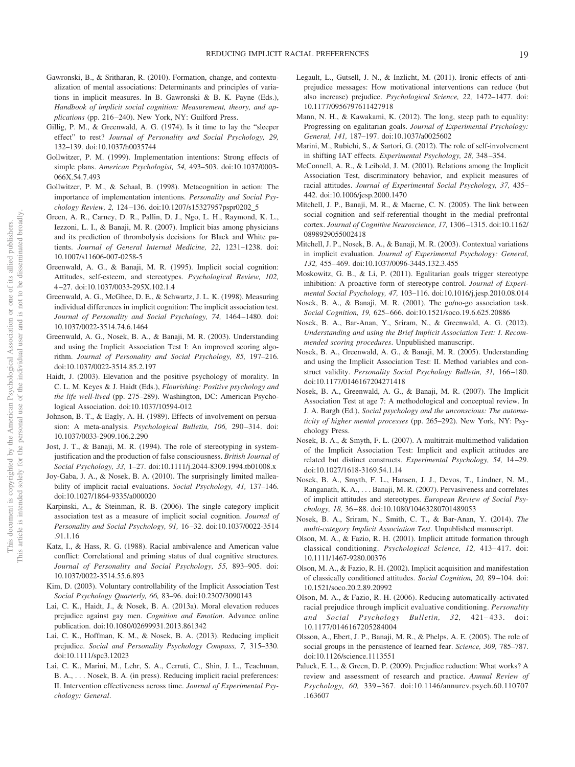- Gawronski, B., & Sritharan, R. (2010). Formation, change, and contextualization of mental associations: Determinants and principles of variations in implicit measures. In B. Gawronski & B. K. Payne (Eds.), *Handbook of implicit social cognition: Measurement, theory, and applications* (pp. 216 –240). New York, NY: Guilford Press.
- Gillig, P. M., & Greenwald, A. G. (1974). Is it time to lay the "sleeper effect" to rest? *Journal of Personality and Social Psychology, 29,* 132–139. doi:10.1037/h0035744
- Gollwitzer, P. M. (1999). Implementation intentions: Strong effects of simple plans. *American Psychologist, 54,* 493–503. doi:10.1037/0003- 066X.54.7.493
- Gollwitzer, P. M., & Schaal, B. (1998). Metacognition in action: The importance of implementation intentions. *Personality and Social Psychology Review, 2,* 124 –136. doi:10.1207/s15327957pspr0202\_5
- Green, A. R., Carney, D. R., Pallin, D. J., Ngo, L. H., Raymond, K. L., Iezzoni, L. I., & Banaji, M. R. (2007). Implicit bias among physicians and its prediction of thrombolysis decisions for Black and White patients. *Journal of General Internal Medicine, 22,* 1231–1238. doi: 10.1007/s11606-007-0258-5
- Greenwald, A. G., & Banaji, M. R. (1995). Implicit social cognition: Attitudes, self-esteem, and stereotypes. *Psychological Review, 102,* 4 –27. doi:10.1037/0033-295X.102.1.4
- Greenwald, A. G., McGhee, D. E., & Schwartz, J. L. K. (1998). Measuring individual differences in implicit cognition: The implicit association test. *Journal of Personality and Social Psychology, 74,* 1464 –1480. doi: 10.1037/0022-3514.74.6.1464
- Greenwald, A. G., Nosek, B. A., & Banaji, M. R. (2003). Understanding and using the Implicit Association Test I: An improved scoring algorithm. *Journal of Personality and Social Psychology, 85,* 197–216. doi:10.1037/0022-3514.85.2.197
- Haidt, J. (2003). Elevation and the positive psychology of morality. In C. L. M. Keyes & J. Haidt (Eds.), *Flourishing: Positive psychology and the life well-lived* (pp. 275–289). Washington, DC: American Psychological Association. doi:10.1037/10594-012
- Johnson, B. T., & Eagly, A. H. (1989). Effects of involvement on persuasion: A meta-analysis. *Psychological Bulletin, 106, 290-314.* doi: 10.1037/0033-2909.106.2.290
- Jost, J. T., & Banaji, M. R. (1994). The role of stereotyping in systemjustification and the production of false consciousness. *British Journal of Social Psychology, 33,* 1–27. doi:10.1111/j.2044-8309.1994.tb01008.x
- Joy-Gaba, J. A., & Nosek, B. A. (2010). The surprisingly limited malleability of implicit racial evaluations. *Social Psychology, 41,* 137–146. doi:10.1027/1864-9335/a000020
- Karpinski, A., & Steinman, R. B. (2006). The single category implicit association test as a measure of implicit social cognition. *Journal of Personality and Social Psychology, 91,* 16 –32. doi:10.1037/0022-3514 .91.1.16
- Katz, I., & Hass, R. G. (1988). Racial ambivalence and American value conflict: Correlational and priming status of dual cognitive structures. *Journal of Personality and Social Psychology, 55,* 893–905. doi: 10.1037/0022-3514.55.6.893
- Kim, D. (2003). Voluntary controllability of the Implicit Association Test *Social Psychology Quarterly, 66,* 83–96. doi:10.2307/3090143
- Lai, C. K., Haidt, J., & Nosek, B. A. (2013a). Moral elevation reduces prejudice against gay men. *Cognition and Emotion*. Advance online publication. doi:10.1080/02699931.2013.861342
- Lai, C. K., Hoffman, K. M., & Nosek, B. A. (2013). Reducing implicit prejudice. *Social and Personality Psychology Compass, 7,* 315–330. doi:10.1111/spc3.12023
- Lai, C. K., Marini, M., Lehr, S. A., Cerruti, C., Shin, J. L., Teachman, B. A., . . . Nosek, B. A. (in press). Reducing implicit racial preferences: II. Intervention effectiveness across time. *Journal of Experimental Psychology: General*.
- Legault, L., Gutsell, J. N., & Inzlicht, M. (2011). Ironic effects of antiprejudice messages: How motivational interventions can reduce (but also increase) prejudice. *Psychological Science, 22,* 1472–1477. doi: 10.1177/0956797611427918
- Mann, N. H., & Kawakami, K. (2012). The long, steep path to equality: Progressing on egalitarian goals. *Journal of Experimental Psychology: General, 141,* 187–197. doi:10.1037/a0025602
- Marini, M., Rubichi, S., & Sartori, G. (2012). The role of self-involvement in shifting IAT effects. *Experimental Psychology, 28,* 348 –354.
- McConnell, A. R., & Leibold, J. M. (2001). Relations among the Implicit Association Test, discriminatory behavior, and explicit measures of racial attitudes. *Journal of Experimental Social Psychology, 37,* 435– 442. doi:10.1006/jesp.2000.1470
- Mitchell, J. P., Banaji, M. R., & Macrae, C. N. (2005). The link between social cognition and self-referential thought in the medial prefrontal cortex. *Journal of Cognitive Neuroscience, 17,* 1306 –1315. doi:10.1162/ 0898929055002418
- Mitchell, J. P., Nosek, B. A., & Banaji, M. R. (2003). Contextual variations in implicit evaluation. *Journal of Experimental Psychology: General, 132,* 455– 469. doi:10.1037/0096-3445.132.3.455
- Moskowitz, G. B., & Li, P. (2011). Egalitarian goals trigger stereotype inhibition: A proactive form of stereotype control. *Journal of Experimental Social Psychology, 47,* 103–116. doi:10.1016/j.jesp.2010.08.014
- Nosek, B. A., & Banaji, M. R. (2001). The go/no-go association task. *Social Cognition, 19,* 625– 666. doi:10.1521/soco.19.6.625.20886
- Nosek, B. A., Bar-Anan, Y., Sriram, N., & Greenwald, A. G. (2012). *Understanding and using the Brief Implicit Association Test: I. Recommended scoring procedures*. Unpublished manuscript.
- Nosek, B. A., Greenwald, A. G., & Banaji, M. R. (2005). Understanding and using the Implicit Association Test: II. Method variables and construct validity. *Personality Social Psychology Bulletin, 31, 166-180.* doi:10.1177/0146167204271418
- Nosek, B. A., Greenwald, A. G., & Banaji, M. R. (2007). The Implicit Association Test at age 7: A methodological and conceptual review. In J. A. Bargh (Ed.), *Social psychology and the unconscious: The automaticity of higher mental processes* (pp. 265–292). New York, NY: Psychology Press.
- Nosek, B. A., & Smyth, F. L. (2007). A multitrait-multimethod validation of the Implicit Association Test: Implicit and explicit attitudes are related but distinct constructs. *Experimental Psychology, 54,* 14 –29. doi:10.1027/1618-3169.54.1.14
- Nosek, B. A., Smyth, F. L., Hansen, J. J., Devos, T., Lindner, N. M., Ranganath, K. A.,... Banaji, M. R. (2007). Pervasiveness and correlates of implicit attitudes and stereotypes. *European Review of Social Psychology, 18,* 36 – 88. doi:10.1080/10463280701489053
- Nosek, B. A., Sriram, N., Smith, C. T., & Bar-Anan, Y. (2014). *The multi-category Implicit Association Test*. Unpublished manuscript.
- Olson, M. A., & Fazio, R. H. (2001). Implicit attitude formation through classical conditioning. *Psychological Science*, 12, 413-417. doi: 10.1111/1467-9280.00376
- Olson, M. A., & Fazio, R. H. (2002). Implicit acquisition and manifestation of classically conditioned attitudes. *Social Cognition, 20,* 89 –104. doi: 10.1521/soco.20.2.89.20992
- Olson, M. A., & Fazio, R. H. (2006). Reducing automatically-activated racial prejudice through implicit evaluative conditioning. *Personality and Social Psychology Bulletin, 32,* 421– 433. doi: 10.1177/0146167205284004
- Olsson, A., Ebert, J. P., Banaji, M. R., & Phelps, A. E. (2005). The role of social groups in the persistence of learned fear. *Science, 309,* 785–787. doi:10.1126/science.1113551
- Paluck, E. L., & Green, D. P. (2009). Prejudice reduction: What works? A review and assessment of research and practice. *Annual Review of Psychology, 60,* 339 –367. doi:10.1146/annurev.psych.60.110707 .163607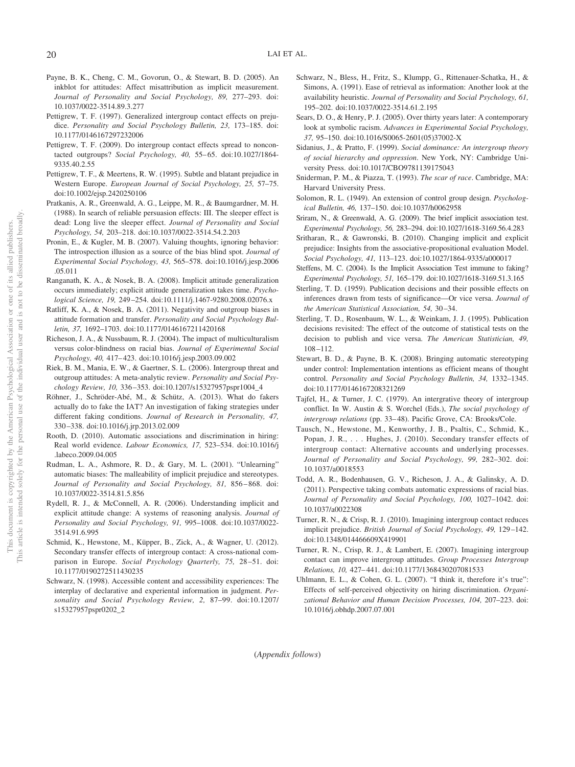- Payne, B. K., Cheng, C. M., Govorun, O., & Stewart, B. D. (2005). An inkblot for attitudes: Affect misattribution as implicit measurement. *Journal of Personality and Social Psychology, 89,* 277–293. doi: 10.1037/0022-3514.89.3.277
- Pettigrew, T. F. (1997). Generalized intergroup contact effects on prejudice. *Personality and Social Psychology Bulletin, 23,* 173–185. doi: 10.1177/0146167297232006
- Pettigrew, T. F. (2009). Do intergroup contact effects spread to noncontacted outgroups? *Social Psychology, 40,* 55– 65. doi:10.1027/1864- 9335.40.2.55
- Pettigrew, T. F., & Meertens, R. W. (1995). Subtle and blatant prejudice in Western Europe. *European Journal of Social Psychology, 25,* 57–75. doi:10.1002/ejsp.2420250106
- Pratkanis, A. R., Greenwald, A. G., Leippe, M. R., & Baumgardner, M. H. (1988). In search of reliable persuasion effects: III. The sleeper effect is dead: Long live the sleeper effect. *Journal of Personality and Social Psychology, 54,* 203–218. doi:10.1037/0022-3514.54.2.203
- Pronin, E., & Kugler, M. B. (2007). Valuing thoughts, ignoring behavior: The introspection illusion as a source of the bias blind spot. *Journal of Experimental Social Psychology, 43,* 565–578. doi:10.1016/j.jesp.2006 .05.011
- Ranganath, K. A., & Nosek, B. A. (2008). Implicit attitude generalization occurs immediately; explicit attitude generalization takes time. *Psychological Science, 19,* 249 –254. doi:10.1111/j.1467-9280.2008.02076.x
- Ratliff, K. A., & Nosek, B. A. (2011). Negativity and outgroup biases in attitude formation and transfer. *Personality and Social Psychology Bulletin, 37,* 1692–1703. doi:10.1177/0146167211420168
- Richeson, J. A., & Nussbaum, R. J. (2004). The impact of multiculturalism versus color-blindness on racial bias. *Journal of Experimental Social Psychology, 40,* 417– 423. doi:10.1016/j.jesp.2003.09.002
- Riek, B. M., Mania, E. W., & Gaertner, S. L. (2006). Intergroup threat and outgroup attitudes: A meta-analytic review. *Personality and Social Psychology Review, 10,* 336 –353. doi:10.1207/s15327957pspr1004\_4
- Röhner, J., Schröder-Abé, M., & Schütz, A. (2013). What do fakers actually do to fake the IAT? An investigation of faking strategies under different faking conditions. *Journal of Research in Personality, 47,* 330 –338. doi:10.1016/j.jrp.2013.02.009
- Rooth, D. (2010). Automatic associations and discrimination in hiring: Real world evidence. *Labour Economics, 17,* 523–534. doi:10.1016/j .labeco.2009.04.005
- Rudman, L. A., Ashmore, R. D., & Gary, M. L. (2001). "Unlearning" automatic biases: The malleability of implicit prejudice and stereotypes. Journal of Personality and Social Psychology, 81, 856-868. doi: 10.1037/0022-3514.81.5.856
- Rydell, R. J., & McConnell, A. R. (2006). Understanding implicit and explicit attitude change: A systems of reasoning analysis. *Journal of Personality and Social Psychology, 91,* 995–1008. doi:10.1037/0022- 3514.91.6.995
- Schmid, K., Hewstone, M., Küpper, B., Zick, A., & Wagner, U. (2012). Secondary transfer effects of intergroup contact: A cross-national comparison in Europe. *Social Psychology Quarterly, 75, 28-51*. doi: 10.1177/0190272511430235
- Schwarz, N. (1998). Accessible content and accessibility experiences: The interplay of declarative and experiental information in judgment. *Personality and Social Psychology Review, 2,* 87–99. doi:10.1207/ s15327957pspr0202\_2
- Schwarz, N., Bless, H., Fritz, S., Klumpp, G., Rittenauer-Schatka, H., & Simons, A. (1991). Ease of retrieval as information: Another look at the availability heuristic. *Journal of Personality and Social Psychology, 61,* 195–202. doi:10.1037/0022-3514.61.2.195
- Sears, D. O., & Henry, P. J. (2005). Over thirty years later: A contemporary look at symbolic racism. *Advances in Experimental Social Psychology, 37,* 95–150. doi:10.1016/S0065-2601(05)37002-X
- Sidanius, J., & Pratto, F. (1999). *Social dominance: An intergroup theory of social hierarchy and oppression*. New York, NY: Cambridge University Press. doi:10.1017/CBO9781139175043
- Sniderman, P. M., & Piazza, T. (1993). *The scar of race*. Cambridge, MA: Harvard University Press.
- Solomon, R. L. (1949). An extension of control group design. *Psychological Bulletin, 46,* 137–150. doi:10.1037/h0062958
- Sriram, N., & Greenwald, A. G. (2009). The brief implicit association test. *Experimental Psychology, 56,* 283–294. doi:10.1027/1618-3169.56.4.283
- Sritharan, R., & Gawronski, B. (2010). Changing implicit and explicit prejudice: Insights from the associative-propositional evaluation Model. *Social Psychology, 41,* 113–123. doi:10.1027/1864-9335/a000017
- Steffens, M. C. (2004). Is the Implicit Association Test immune to faking? *Experimental Psychology, 51,* 165–179. doi:10.1027/1618-3169.51.3.165
- Sterling, T. D. (1959). Publication decisions and their possible effects on inferences drawn from tests of significance—Or vice versa. *Journal of the American Statistical Association, 54,* 30 –34.
- Sterling, T. D., Rosenbaum, W. L., & Weinkam, J. J. (1995). Publication decisions revisited: The effect of the outcome of statistical tests on the decision to publish and vice versa. *The American Statistician, 49,* 108 –112.
- Stewart, B. D., & Payne, B. K. (2008). Bringing automatic stereotyping under control: Implementation intentions as efficient means of thought control. *Personality and Social Psychology Bulletin, 34,* 1332–1345. doi:10.1177/0146167208321269
- Tajfel, H., & Turner, J. C. (1979). An intergrative theory of intergroup conflict. In W. Austin & S. Worchel (Eds.), *The social psychology of intergroup relations* (pp. 33-48). Pacific Grove, CA: Brooks/Cole.
- Tausch, N., Hewstone, M., Kenworthy, J. B., Psaltis, C., Schmid, K., Popan, J. R., . . . Hughes, J. (2010). Secondary transfer effects of intergroup contact: Alternative accounts and underlying processes. *Journal of Personality and Social Psychology, 99,* 282–302. doi: 10.1037/a0018553
- Todd, A. R., Bodenhausen, G. V., Richeson, J. A., & Galinsky, A. D. (2011). Perspective taking combats automatic expressions of racial bias. *Journal of Personality and Social Psychology, 100,* 1027–1042. doi: 10.1037/a0022308
- Turner, R. N., & Crisp, R. J. (2010). Imagining intergroup contact reduces implicit prejudice. *British Journal of Social Psychology, 49,* 129 –142. doi:10.1348/014466609X419901
- Turner, R. N., Crisp, R. J., & Lambert, E. (2007). Imagining intergroup contact can improve intergroup attitudes. *Group Processes Intergroup Relations, 10,* 427– 441. doi:10.1177/1368430207081533
- Uhlmann, E. L., & Cohen, G. L. (2007). "I think it, therefore it's true": Effects of self-perceived objectivity on hiring discrimination. *Organizational Behavior and Human Decision Processes, 104,* 207–223. doi: 10.1016/j.obhdp.2007.07.001

(*Appendix follows*)